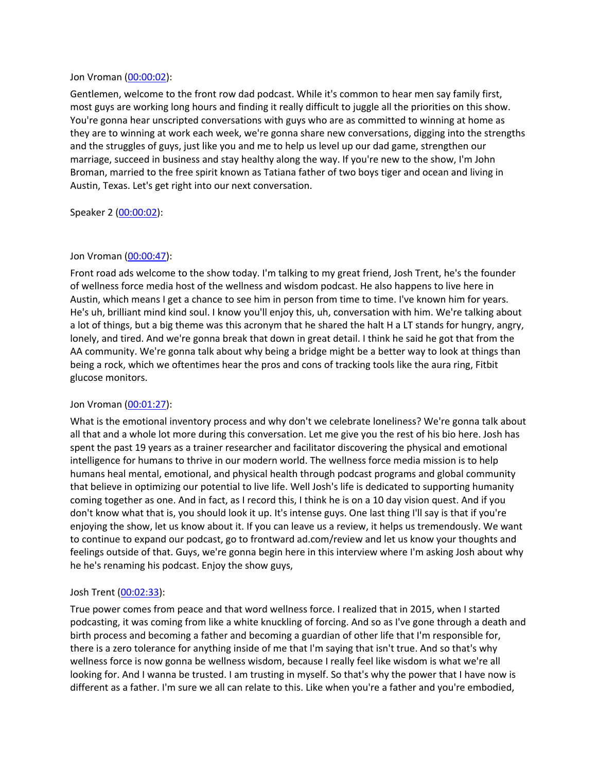### Jon Vroman [\(00:00:02](https://www.temi.com/editor/t/lDt1Y2438ZMtccGhL55QfwfFHlcxX4HPa5UArSv2oLQFy4JxMQsMClyMnnTeNLrjx6qEjNk9NZzri80afU2ewHUZ7so?loadFrom=DocumentDeeplink&ts=2.67)):

Gentlemen, welcome to the front row dad podcast. While it's common to hear men say family first, most guys are working long hours and finding it really difficult to juggle all the priorities on this show. You're gonna hear unscripted conversations with guys who are as committed to winning at home as they are to winning at work each week, we're gonna share new conversations, digging into the strengths and the struggles of guys, just like you and me to help us level up our dad game, strengthen our marriage, succeed in business and stay healthy along the way. If you're new to the show, I'm John Broman, married to the free spirit known as Tatiana father of two boys tiger and ocean and living in Austin, Texas. Let's get right into our next conversation.

### Speaker 2 ([00:00:02](https://www.temi.com/editor/t/lDt1Y2438ZMtccGhL55QfwfFHlcxX4HPa5UArSv2oLQFy4JxMQsMClyMnnTeNLrjx6qEjNk9NZzri80afU2ewHUZ7so?loadFrom=DocumentDeeplink&ts=2.67)):

### Jon Vroman [\(00:00:47](https://www.temi.com/editor/t/lDt1Y2438ZMtccGhL55QfwfFHlcxX4HPa5UArSv2oLQFy4JxMQsMClyMnnTeNLrjx6qEjNk9NZzri80afU2ewHUZ7so?loadFrom=DocumentDeeplink&ts=47.83)):

Front road ads welcome to the show today. I'm talking to my great friend, Josh Trent, he's the founder of wellness force media host of the wellness and wisdom podcast. He also happens to live here in Austin, which means I get a chance to see him in person from time to time. I've known him for years. He's uh, brilliant mind kind soul. I know you'll enjoy this, uh, conversation with him. We're talking about a lot of things, but a big theme was this acronym that he shared the halt H a LT stands for hungry, angry, lonely, and tired. And we're gonna break that down in great detail. I think he said he got that from the AA community. We're gonna talk about why being a bridge might be a better way to look at things than being a rock, which we oftentimes hear the pros and cons of tracking tools like the aura ring, Fitbit glucose monitors.

## Jon Vroman [\(00:01:27](https://www.temi.com/editor/t/lDt1Y2438ZMtccGhL55QfwfFHlcxX4HPa5UArSv2oLQFy4JxMQsMClyMnnTeNLrjx6qEjNk9NZzri80afU2ewHUZ7so?loadFrom=DocumentDeeplink&ts=87.71)):

What is the emotional inventory process and why don't we celebrate loneliness? We're gonna talk about all that and a whole lot more during this conversation. Let me give you the rest of his bio here. Josh has spent the past 19 years as a trainer researcher and facilitator discovering the physical and emotional intelligence for humans to thrive in our modern world. The wellness force media mission is to help humans heal mental, emotional, and physical health through podcast programs and global community that believe in optimizing our potential to live life. Well Josh's life is dedicated to supporting humanity coming together as one. And in fact, as I record this, I think he is on a 10 day vision quest. And if you don't know what that is, you should look it up. It's intense guys. One last thing I'll say is that if you're enjoying the show, let us know about it. If you can leave us a review, it helps us tremendously. We want to continue to expand our podcast, go to frontward ad.com/review and let us know your thoughts and feelings outside of that. Guys, we're gonna begin here in this interview where I'm asking Josh about why he he's renaming his podcast. Enjoy the show guys,

## Josh Trent ([00:02:33](https://www.temi.com/editor/t/lDt1Y2438ZMtccGhL55QfwfFHlcxX4HPa5UArSv2oLQFy4JxMQsMClyMnnTeNLrjx6qEjNk9NZzri80afU2ewHUZ7so?loadFrom=DocumentDeeplink&ts=153.64)):

True power comes from peace and that word wellness force. I realized that in 2015, when I started podcasting, it was coming from like a white knuckling of forcing. And so as I've gone through a death and birth process and becoming a father and becoming a guardian of other life that I'm responsible for, there is a zero tolerance for anything inside of me that I'm saying that isn't true. And so that's why wellness force is now gonna be wellness wisdom, because I really feel like wisdom is what we're all looking for. And I wanna be trusted. I am trusting in myself. So that's why the power that I have now is different as a father. I'm sure we all can relate to this. Like when you're a father and you're embodied,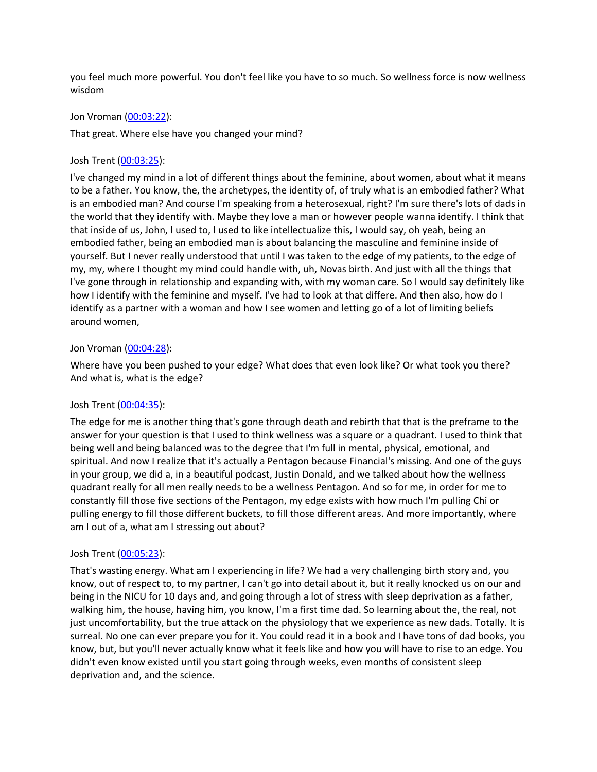you feel much more powerful. You don't feel like you have to so much. So wellness force is now wellness wisdom

### Jon Vroman [\(00:03:22](https://www.temi.com/editor/t/lDt1Y2438ZMtccGhL55QfwfFHlcxX4HPa5UArSv2oLQFy4JxMQsMClyMnnTeNLrjx6qEjNk9NZzri80afU2ewHUZ7so?loadFrom=DocumentDeeplink&ts=202.8)):

That great. Where else have you changed your mind?

### Josh Trent ([00:03:25](https://www.temi.com/editor/t/lDt1Y2438ZMtccGhL55QfwfFHlcxX4HPa5UArSv2oLQFy4JxMQsMClyMnnTeNLrjx6qEjNk9NZzri80afU2ewHUZ7so?loadFrom=DocumentDeeplink&ts=205.16)):

I've changed my mind in a lot of different things about the feminine, about women, about what it means to be a father. You know, the, the archetypes, the identity of, of truly what is an embodied father? What is an embodied man? And course I'm speaking from a heterosexual, right? I'm sure there's lots of dads in the world that they identify with. Maybe they love a man or however people wanna identify. I think that that inside of us, John, I used to, I used to like intellectualize this, I would say, oh yeah, being an embodied father, being an embodied man is about balancing the masculine and feminine inside of yourself. But I never really understood that until I was taken to the edge of my patients, to the edge of my, my, where I thought my mind could handle with, uh, Novas birth. And just with all the things that I've gone through in relationship and expanding with, with my woman care. So I would say definitely like how I identify with the feminine and myself. I've had to look at that differe. And then also, how do I identify as a partner with a woman and how I see women and letting go of a lot of limiting beliefs around women,

### Jon Vroman [\(00:04:28](https://www.temi.com/editor/t/lDt1Y2438ZMtccGhL55QfwfFHlcxX4HPa5UArSv2oLQFy4JxMQsMClyMnnTeNLrjx6qEjNk9NZzri80afU2ewHUZ7so?loadFrom=DocumentDeeplink&ts=268.59)):

Where have you been pushed to your edge? What does that even look like? Or what took you there? And what is, what is the edge?

## Josh Trent ([00:04:35](https://www.temi.com/editor/t/lDt1Y2438ZMtccGhL55QfwfFHlcxX4HPa5UArSv2oLQFy4JxMQsMClyMnnTeNLrjx6qEjNk9NZzri80afU2ewHUZ7so?loadFrom=DocumentDeeplink&ts=275.72)):

The edge for me is another thing that's gone through death and rebirth that that is the preframe to the answer for your question is that I used to think wellness was a square or a quadrant. I used to think that being well and being balanced was to the degree that I'm full in mental, physical, emotional, and spiritual. And now I realize that it's actually a Pentagon because Financial's missing. And one of the guys in your group, we did a, in a beautiful podcast, Justin Donald, and we talked about how the wellness quadrant really for all men really needs to be a wellness Pentagon. And so for me, in order for me to constantly fill those five sections of the Pentagon, my edge exists with how much I'm pulling Chi or pulling energy to fill those different buckets, to fill those different areas. And more importantly, where am I out of a, what am I stressing out about?

### Josh Trent ([00:05:23](https://www.temi.com/editor/t/lDt1Y2438ZMtccGhL55QfwfFHlcxX4HPa5UArSv2oLQFy4JxMQsMClyMnnTeNLrjx6qEjNk9NZzri80afU2ewHUZ7so?loadFrom=DocumentDeeplink&ts=323.55)):

That's wasting energy. What am I experiencing in life? We had a very challenging birth story and, you know, out of respect to, to my partner, I can't go into detail about it, but it really knocked us on our and being in the NICU for 10 days and, and going through a lot of stress with sleep deprivation as a father, walking him, the house, having him, you know, I'm a first time dad. So learning about the, the real, not just uncomfortability, but the true attack on the physiology that we experience as new dads. Totally. It is surreal. No one can ever prepare you for it. You could read it in a book and I have tons of dad books, you know, but, but you'll never actually know what it feels like and how you will have to rise to an edge. You didn't even know existed until you start going through weeks, even months of consistent sleep deprivation and, and the science.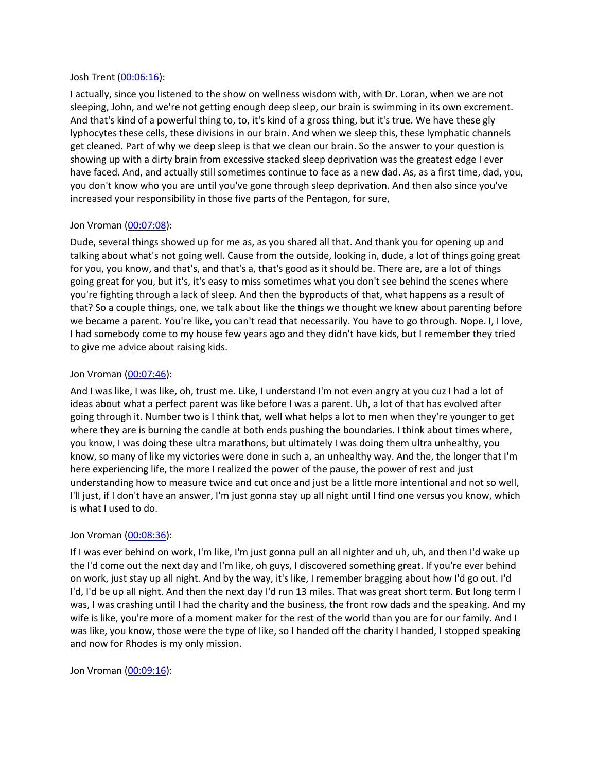### Josh Trent ([00:06:16](https://www.temi.com/editor/t/lDt1Y2438ZMtccGhL55QfwfFHlcxX4HPa5UArSv2oLQFy4JxMQsMClyMnnTeNLrjx6qEjNk9NZzri80afU2ewHUZ7so?loadFrom=DocumentDeeplink&ts=376.28)):

I actually, since you listened to the show on wellness wisdom with, with Dr. Loran, when we are not sleeping, John, and we're not getting enough deep sleep, our brain is swimming in its own excrement. And that's kind of a powerful thing to, to, it's kind of a gross thing, but it's true. We have these gly lyphocytes these cells, these divisions in our brain. And when we sleep this, these lymphatic channels get cleaned. Part of why we deep sleep is that we clean our brain. So the answer to your question is showing up with a dirty brain from excessive stacked sleep deprivation was the greatest edge I ever have faced. And, and actually still sometimes continue to face as a new dad. As, as a first time, dad, you, you don't know who you are until you've gone through sleep deprivation. And then also since you've increased your responsibility in those five parts of the Pentagon, for sure,

## Jon Vroman [\(00:07:08](https://www.temi.com/editor/t/lDt1Y2438ZMtccGhL55QfwfFHlcxX4HPa5UArSv2oLQFy4JxMQsMClyMnnTeNLrjx6qEjNk9NZzri80afU2ewHUZ7so?loadFrom=DocumentDeeplink&ts=428.19)):

Dude, several things showed up for me as, as you shared all that. And thank you for opening up and talking about what's not going well. Cause from the outside, looking in, dude, a lot of things going great for you, you know, and that's, and that's a, that's good as it should be. There are, are a lot of things going great for you, but it's, it's easy to miss sometimes what you don't see behind the scenes where you're fighting through a lack of sleep. And then the byproducts of that, what happens as a result of that? So a couple things, one, we talk about like the things we thought we knew about parenting before we became a parent. You're like, you can't read that necessarily. You have to go through. Nope. I, I love, I had somebody come to my house few years ago and they didn't have kids, but I remember they tried to give me advice about raising kids.

## Jon Vroman [\(00:07:46](https://www.temi.com/editor/t/lDt1Y2438ZMtccGhL55QfwfFHlcxX4HPa5UArSv2oLQFy4JxMQsMClyMnnTeNLrjx6qEjNk9NZzri80afU2ewHUZ7so?loadFrom=DocumentDeeplink&ts=466.41)):

And I was like, I was like, oh, trust me. Like, I understand I'm not even angry at you cuz I had a lot of ideas about what a perfect parent was like before I was a parent. Uh, a lot of that has evolved after going through it. Number two is I think that, well what helps a lot to men when they're younger to get where they are is burning the candle at both ends pushing the boundaries. I think about times where, you know, I was doing these ultra marathons, but ultimately I was doing them ultra unhealthy, you know, so many of like my victories were done in such a, an unhealthy way. And the, the longer that I'm here experiencing life, the more I realized the power of the pause, the power of rest and just understanding how to measure twice and cut once and just be a little more intentional and not so well, I'll just, if I don't have an answer, I'm just gonna stay up all night until I find one versus you know, which is what I used to do.

## Jon Vroman [\(00:08:36](https://www.temi.com/editor/t/lDt1Y2438ZMtccGhL55QfwfFHlcxX4HPa5UArSv2oLQFy4JxMQsMClyMnnTeNLrjx6qEjNk9NZzri80afU2ewHUZ7so?loadFrom=DocumentDeeplink&ts=516.45)):

If I was ever behind on work, I'm like, I'm just gonna pull an all nighter and uh, uh, and then I'd wake up the I'd come out the next day and I'm like, oh guys, I discovered something great. If you're ever behind on work, just stay up all night. And by the way, it's like, I remember bragging about how I'd go out. I'd I'd, I'd be up all night. And then the next day I'd run 13 miles. That was great short term. But long term I was, I was crashing until I had the charity and the business, the front row dads and the speaking. And my wife is like, you're more of a moment maker for the rest of the world than you are for our family. And I was like, you know, those were the type of like, so I handed off the charity I handed, I stopped speaking and now for Rhodes is my only mission.

### Jon Vroman [\(00:09:16](https://www.temi.com/editor/t/lDt1Y2438ZMtccGhL55QfwfFHlcxX4HPa5UArSv2oLQFy4JxMQsMClyMnnTeNLrjx6qEjNk9NZzri80afU2ewHUZ7so?loadFrom=DocumentDeeplink&ts=556.17)):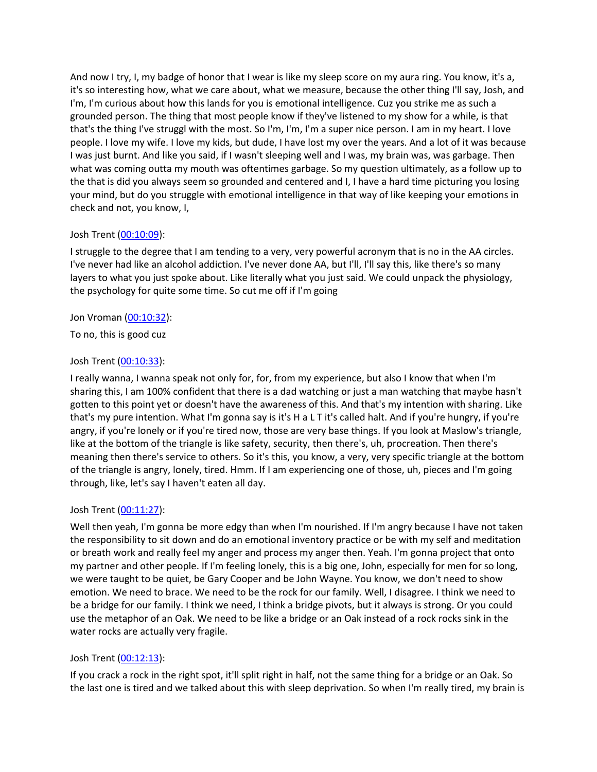And now I try, I, my badge of honor that I wear is like my sleep score on my aura ring. You know, it's a, it's so interesting how, what we care about, what we measure, because the other thing I'll say, Josh, and I'm, I'm curious about how this lands for you is emotional intelligence. Cuz you strike me as such a grounded person. The thing that most people know if they've listened to my show for a while, is that that's the thing I've struggl with the most. So I'm, I'm, I'm a super nice person. I am in my heart. I love people. I love my wife. I love my kids, but dude, I have lost my over the years. And a lot of it was because I was just burnt. And like you said, if I wasn't sleeping well and I was, my brain was, was garbage. Then what was coming outta my mouth was oftentimes garbage. So my question ultimately, as a follow up to the that is did you always seem so grounded and centered and I, I have a hard time picturing you losing your mind, but do you struggle with emotional intelligence in that way of like keeping your emotions in check and not, you know, I,

### Josh Trent ([00:10:09](https://www.temi.com/editor/t/lDt1Y2438ZMtccGhL55QfwfFHlcxX4HPa5UArSv2oLQFy4JxMQsMClyMnnTeNLrjx6qEjNk9NZzri80afU2ewHUZ7so?loadFrom=DocumentDeeplink&ts=609.29)):

I struggle to the degree that I am tending to a very, very powerful acronym that is no in the AA circles. I've never had like an alcohol addiction. I've never done AA, but I'll, I'll say this, like there's so many layers to what you just spoke about. Like literally what you just said. We could unpack the physiology, the psychology for quite some time. So cut me off if I'm going

### Jon Vroman [\(00:10:32](https://www.temi.com/editor/t/lDt1Y2438ZMtccGhL55QfwfFHlcxX4HPa5UArSv2oLQFy4JxMQsMClyMnnTeNLrjx6qEjNk9NZzri80afU2ewHUZ7so?loadFrom=DocumentDeeplink&ts=632.6)):

To no, this is good cuz

## Josh Trent ([00:10:33](https://www.temi.com/editor/t/lDt1Y2438ZMtccGhL55QfwfFHlcxX4HPa5UArSv2oLQFy4JxMQsMClyMnnTeNLrjx6qEjNk9NZzri80afU2ewHUZ7so?loadFrom=DocumentDeeplink&ts=633.96)):

I really wanna, I wanna speak not only for, for, from my experience, but also I know that when I'm sharing this, I am 100% confident that there is a dad watching or just a man watching that maybe hasn't gotten to this point yet or doesn't have the awareness of this. And that's my intention with sharing. Like that's my pure intention. What I'm gonna say is it's H a L T it's called halt. And if you're hungry, if you're angry, if you're lonely or if you're tired now, those are very base things. If you look at Maslow's triangle, like at the bottom of the triangle is like safety, security, then there's, uh, procreation. Then there's meaning then there's service to others. So it's this, you know, a very, very specific triangle at the bottom of the triangle is angry, lonely, tired. Hmm. If I am experiencing one of those, uh, pieces and I'm going through, like, let's say I haven't eaten all day.

## Josh Trent ([00:11:27](https://www.temi.com/editor/t/lDt1Y2438ZMtccGhL55QfwfFHlcxX4HPa5UArSv2oLQFy4JxMQsMClyMnnTeNLrjx6qEjNk9NZzri80afU2ewHUZ7so?loadFrom=DocumentDeeplink&ts=687.12)):

Well then yeah, I'm gonna be more edgy than when I'm nourished. If I'm angry because I have not taken the responsibility to sit down and do an emotional inventory practice or be with my self and meditation or breath work and really feel my anger and process my anger then. Yeah. I'm gonna project that onto my partner and other people. If I'm feeling lonely, this is a big one, John, especially for men for so long, we were taught to be quiet, be Gary Cooper and be John Wayne. You know, we don't need to show emotion. We need to brace. We need to be the rock for our family. Well, I disagree. I think we need to be a bridge for our family. I think we need, I think a bridge pivots, but it always is strong. Or you could use the metaphor of an Oak. We need to be like a bridge or an Oak instead of a rock rocks sink in the water rocks are actually very fragile.

## Josh Trent ([00:12:13](https://www.temi.com/editor/t/lDt1Y2438ZMtccGhL55QfwfFHlcxX4HPa5UArSv2oLQFy4JxMQsMClyMnnTeNLrjx6qEjNk9NZzri80afU2ewHUZ7so?loadFrom=DocumentDeeplink&ts=733.45)):

If you crack a rock in the right spot, it'll split right in half, not the same thing for a bridge or an Oak. So the last one is tired and we talked about this with sleep deprivation. So when I'm really tired, my brain is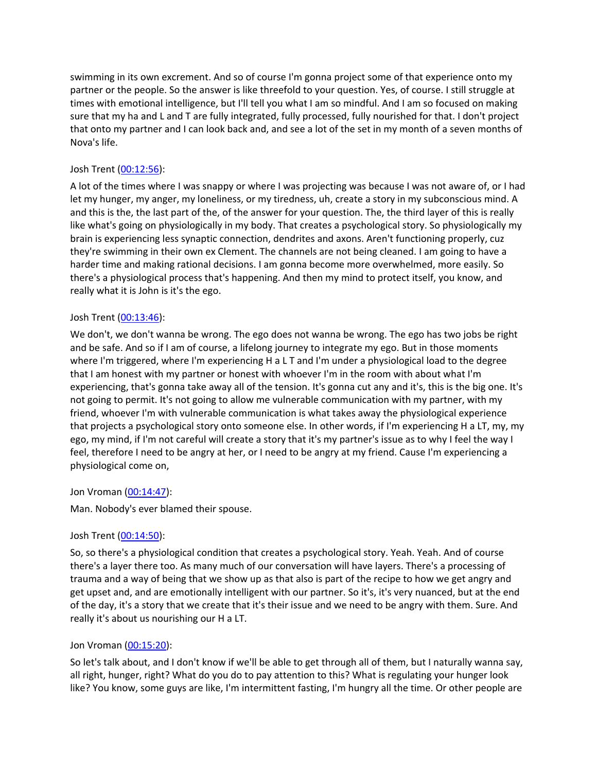swimming in its own excrement. And so of course I'm gonna project some of that experience onto my partner or the people. So the answer is like threefold to your question. Yes, of course. I still struggle at times with emotional intelligence, but I'll tell you what I am so mindful. And I am so focused on making sure that my ha and L and T are fully integrated, fully processed, fully nourished for that. I don't project that onto my partner and I can look back and, and see a lot of the set in my month of a seven months of Nova's life.

# Josh Trent ([00:12:56](https://www.temi.com/editor/t/lDt1Y2438ZMtccGhL55QfwfFHlcxX4HPa5UArSv2oLQFy4JxMQsMClyMnnTeNLrjx6qEjNk9NZzri80afU2ewHUZ7so?loadFrom=DocumentDeeplink&ts=776.29)):

A lot of the times where I was snappy or where I was projecting was because I was not aware of, or I had let my hunger, my anger, my loneliness, or my tiredness, uh, create a story in my subconscious mind. A and this is the, the last part of the, of the answer for your question. The, the third layer of this is really like what's going on physiologically in my body. That creates a psychological story. So physiologically my brain is experiencing less synaptic connection, dendrites and axons. Aren't functioning properly, cuz they're swimming in their own ex Clement. The channels are not being cleaned. I am going to have a harder time and making rational decisions. I am gonna become more overwhelmed, more easily. So there's a physiological process that's happening. And then my mind to protect itself, you know, and really what it is John is it's the ego.

### Josh Trent ([00:13:46](https://www.temi.com/editor/t/lDt1Y2438ZMtccGhL55QfwfFHlcxX4HPa5UArSv2oLQFy4JxMQsMClyMnnTeNLrjx6qEjNk9NZzri80afU2ewHUZ7so?loadFrom=DocumentDeeplink&ts=826.71)):

We don't, we don't wanna be wrong. The ego does not wanna be wrong. The ego has two jobs be right and be safe. And so if I am of course, a lifelong journey to integrate my ego. But in those moments where I'm triggered, where I'm experiencing H a L T and I'm under a physiological load to the degree that I am honest with my partner or honest with whoever I'm in the room with about what I'm experiencing, that's gonna take away all of the tension. It's gonna cut any and it's, this is the big one. It's not going to permit. It's not going to allow me vulnerable communication with my partner, with my friend, whoever I'm with vulnerable communication is what takes away the physiological experience that projects a psychological story onto someone else. In other words, if I'm experiencing H a LT, my, my ego, my mind, if I'm not careful will create a story that it's my partner's issue as to why I feel the way I feel, therefore I need to be angry at her, or I need to be angry at my friend. Cause I'm experiencing a physiological come on,

## Jon Vroman [\(00:14:47](https://www.temi.com/editor/t/lDt1Y2438ZMtccGhL55QfwfFHlcxX4HPa5UArSv2oLQFy4JxMQsMClyMnnTeNLrjx6qEjNk9NZzri80afU2ewHUZ7so?loadFrom=DocumentDeeplink&ts=887.68)):

Man. Nobody's ever blamed their spouse.

## Josh Trent ([00:14:50](https://www.temi.com/editor/t/lDt1Y2438ZMtccGhL55QfwfFHlcxX4HPa5UArSv2oLQFy4JxMQsMClyMnnTeNLrjx6qEjNk9NZzri80afU2ewHUZ7so?loadFrom=DocumentDeeplink&ts=890.64)):

So, so there's a physiological condition that creates a psychological story. Yeah. Yeah. And of course there's a layer there too. As many much of our conversation will have layers. There's a processing of trauma and a way of being that we show up as that also is part of the recipe to how we get angry and get upset and, and are emotionally intelligent with our partner. So it's, it's very nuanced, but at the end of the day, it's a story that we create that it's their issue and we need to be angry with them. Sure. And really it's about us nourishing our H a LT.

## Jon Vroman [\(00:15:20](https://www.temi.com/editor/t/lDt1Y2438ZMtccGhL55QfwfFHlcxX4HPa5UArSv2oLQFy4JxMQsMClyMnnTeNLrjx6qEjNk9NZzri80afU2ewHUZ7so?loadFrom=DocumentDeeplink&ts=920.61)):

So let's talk about, and I don't know if we'll be able to get through all of them, but I naturally wanna say, all right, hunger, right? What do you do to pay attention to this? What is regulating your hunger look like? You know, some guys are like, I'm intermittent fasting, I'm hungry all the time. Or other people are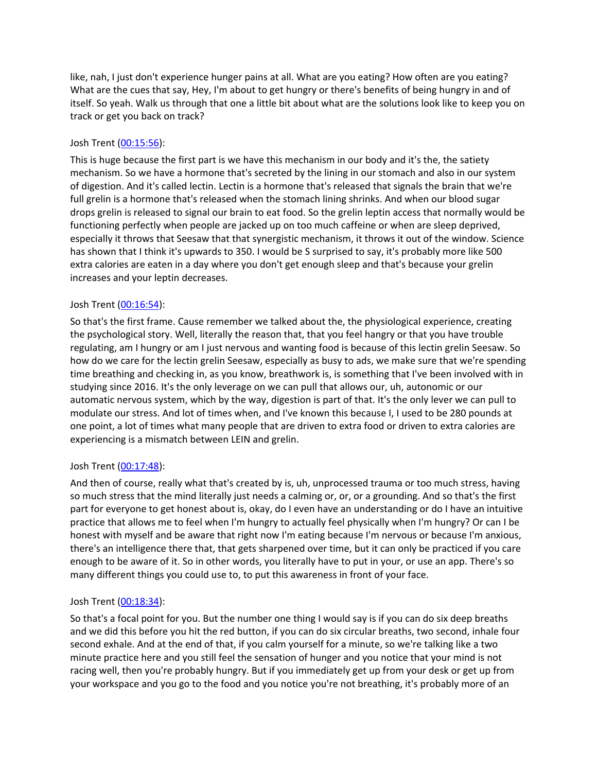like, nah, I just don't experience hunger pains at all. What are you eating? How often are you eating? What are the cues that say, Hey, I'm about to get hungry or there's benefits of being hungry in and of itself. So yeah. Walk us through that one a little bit about what are the solutions look like to keep you on track or get you back on track?

# Josh Trent ([00:15:56](https://www.temi.com/editor/t/lDt1Y2438ZMtccGhL55QfwfFHlcxX4HPa5UArSv2oLQFy4JxMQsMClyMnnTeNLrjx6qEjNk9NZzri80afU2ewHUZ7so?loadFrom=DocumentDeeplink&ts=956.08)):

This is huge because the first part is we have this mechanism in our body and it's the, the satiety mechanism. So we have a hormone that's secreted by the lining in our stomach and also in our system of digestion. And it's called lectin. Lectin is a hormone that's released that signals the brain that we're full grelin is a hormone that's released when the stomach lining shrinks. And when our blood sugar drops grelin is released to signal our brain to eat food. So the grelin leptin access that normally would be functioning perfectly when people are jacked up on too much caffeine or when are sleep deprived, especially it throws that Seesaw that that synergistic mechanism, it throws it out of the window. Science has shown that I think it's upwards to 350. I would be S surprised to say, it's probably more like 500 extra calories are eaten in a day where you don't get enough sleep and that's because your grelin increases and your leptin decreases.

# Josh Trent ([00:16:54](https://www.temi.com/editor/t/lDt1Y2438ZMtccGhL55QfwfFHlcxX4HPa5UArSv2oLQFy4JxMQsMClyMnnTeNLrjx6qEjNk9NZzri80afU2ewHUZ7so?loadFrom=DocumentDeeplink&ts=1014.24)):

So that's the first frame. Cause remember we talked about the, the physiological experience, creating the psychological story. Well, literally the reason that, that you feel hangry or that you have trouble regulating, am I hungry or am I just nervous and wanting food is because of this lectin grelin Seesaw. So how do we care for the lectin grelin Seesaw, especially as busy to ads, we make sure that we're spending time breathing and checking in, as you know, breathwork is, is something that I've been involved with in studying since 2016. It's the only leverage on we can pull that allows our, uh, autonomic or our automatic nervous system, which by the way, digestion is part of that. It's the only lever we can pull to modulate our stress. And lot of times when, and I've known this because I, I used to be 280 pounds at one point, a lot of times what many people that are driven to extra food or driven to extra calories are experiencing is a mismatch between LEIN and grelin.

## Josh Trent ([00:17:48](https://www.temi.com/editor/t/lDt1Y2438ZMtccGhL55QfwfFHlcxX4HPa5UArSv2oLQFy4JxMQsMClyMnnTeNLrjx6qEjNk9NZzri80afU2ewHUZ7so?loadFrom=DocumentDeeplink&ts=1068.38)):

And then of course, really what that's created by is, uh, unprocessed trauma or too much stress, having so much stress that the mind literally just needs a calming or, or, or a grounding. And so that's the first part for everyone to get honest about is, okay, do I even have an understanding or do I have an intuitive practice that allows me to feel when I'm hungry to actually feel physically when I'm hungry? Or can I be honest with myself and be aware that right now I'm eating because I'm nervous or because I'm anxious, there's an intelligence there that, that gets sharpened over time, but it can only be practiced if you care enough to be aware of it. So in other words, you literally have to put in your, or use an app. There's so many different things you could use to, to put this awareness in front of your face.

## Josh Trent ([00:18:34](https://www.temi.com/editor/t/lDt1Y2438ZMtccGhL55QfwfFHlcxX4HPa5UArSv2oLQFy4JxMQsMClyMnnTeNLrjx6qEjNk9NZzri80afU2ewHUZ7so?loadFrom=DocumentDeeplink&ts=1114.38)):

So that's a focal point for you. But the number one thing I would say is if you can do six deep breaths and we did this before you hit the red button, if you can do six circular breaths, two second, inhale four second exhale. And at the end of that, if you calm yourself for a minute, so we're talking like a two minute practice here and you still feel the sensation of hunger and you notice that your mind is not racing well, then you're probably hungry. But if you immediately get up from your desk or get up from your workspace and you go to the food and you notice you're not breathing, it's probably more of an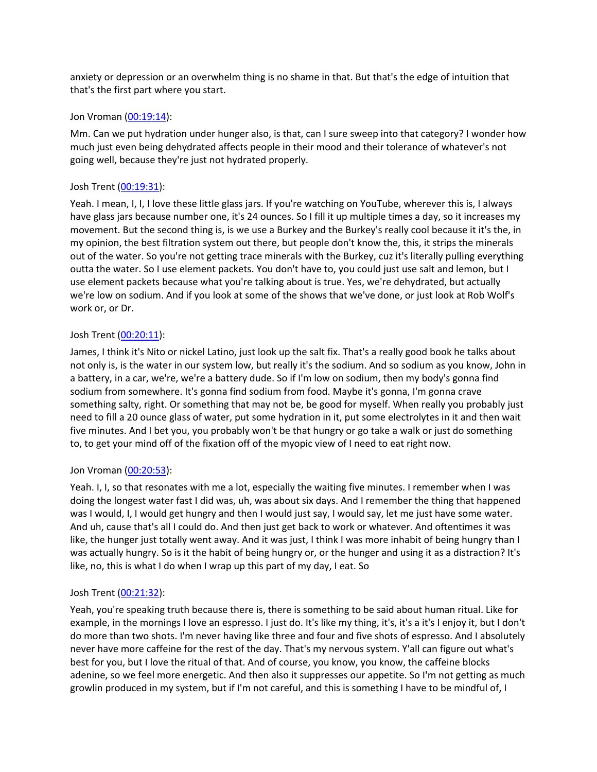anxiety or depression or an overwhelm thing is no shame in that. But that's the edge of intuition that that's the first part where you start.

### Jon Vroman [\(00:19:14](https://www.temi.com/editor/t/lDt1Y2438ZMtccGhL55QfwfFHlcxX4HPa5UArSv2oLQFy4JxMQsMClyMnnTeNLrjx6qEjNk9NZzri80afU2ewHUZ7so?loadFrom=DocumentDeeplink&ts=1154.72)):

Mm. Can we put hydration under hunger also, is that, can I sure sweep into that category? I wonder how much just even being dehydrated affects people in their mood and their tolerance of whatever's not going well, because they're just not hydrated properly.

## Josh Trent ([00:19:31](https://www.temi.com/editor/t/lDt1Y2438ZMtccGhL55QfwfFHlcxX4HPa5UArSv2oLQFy4JxMQsMClyMnnTeNLrjx6qEjNk9NZzri80afU2ewHUZ7so?loadFrom=DocumentDeeplink&ts=1171.06)):

Yeah. I mean, I, I, I love these little glass jars. If you're watching on YouTube, wherever this is, I always have glass jars because number one, it's 24 ounces. So I fill it up multiple times a day, so it increases my movement. But the second thing is, is we use a Burkey and the Burkey's really cool because it it's the, in my opinion, the best filtration system out there, but people don't know the, this, it strips the minerals out of the water. So you're not getting trace minerals with the Burkey, cuz it's literally pulling everything outta the water. So I use element packets. You don't have to, you could just use salt and lemon, but I use element packets because what you're talking about is true. Yes, we're dehydrated, but actually we're low on sodium. And if you look at some of the shows that we've done, or just look at Rob Wolf's work or, or Dr.

# Josh Trent ([00:20:11](https://www.temi.com/editor/t/lDt1Y2438ZMtccGhL55QfwfFHlcxX4HPa5UArSv2oLQFy4JxMQsMClyMnnTeNLrjx6qEjNk9NZzri80afU2ewHUZ7so?loadFrom=DocumentDeeplink&ts=1211.03)):

James, I think it's Nito or nickel Latino, just look up the salt fix. That's a really good book he talks about not only is, is the water in our system low, but really it's the sodium. And so sodium as you know, John in a battery, in a car, we're, we're a battery dude. So if I'm low on sodium, then my body's gonna find sodium from somewhere. It's gonna find sodium from food. Maybe it's gonna, I'm gonna crave something salty, right. Or something that may not be, be good for myself. When really you probably just need to fill a 20 ounce glass of water, put some hydration in it, put some electrolytes in it and then wait five minutes. And I bet you, you probably won't be that hungry or go take a walk or just do something to, to get your mind off of the fixation off of the myopic view of I need to eat right now.

## Jon Vroman [\(00:20:53](https://www.temi.com/editor/t/lDt1Y2438ZMtccGhL55QfwfFHlcxX4HPa5UArSv2oLQFy4JxMQsMClyMnnTeNLrjx6qEjNk9NZzri80afU2ewHUZ7so?loadFrom=DocumentDeeplink&ts=1253.91)):

Yeah. I, I, so that resonates with me a lot, especially the waiting five minutes. I remember when I was doing the longest water fast I did was, uh, was about six days. And I remember the thing that happened was I would, I, I would get hungry and then I would just say, I would say, let me just have some water. And uh, cause that's all I could do. And then just get back to work or whatever. And oftentimes it was like, the hunger just totally went away. And it was just, I think I was more inhabit of being hungry than I was actually hungry. So is it the habit of being hungry or, or the hunger and using it as a distraction? It's like, no, this is what I do when I wrap up this part of my day, I eat. So

## Josh Trent ([00:21:32](https://www.temi.com/editor/t/lDt1Y2438ZMtccGhL55QfwfFHlcxX4HPa5UArSv2oLQFy4JxMQsMClyMnnTeNLrjx6qEjNk9NZzri80afU2ewHUZ7so?loadFrom=DocumentDeeplink&ts=1292.61)):

Yeah, you're speaking truth because there is, there is something to be said about human ritual. Like for example, in the mornings I love an espresso. I just do. It's like my thing, it's, it's a it's I enjoy it, but I don't do more than two shots. I'm never having like three and four and five shots of espresso. And I absolutely never have more caffeine for the rest of the day. That's my nervous system. Y'all can figure out what's best for you, but I love the ritual of that. And of course, you know, you know, the caffeine blocks adenine, so we feel more energetic. And then also it suppresses our appetite. So I'm not getting as much growlin produced in my system, but if I'm not careful, and this is something I have to be mindful of, I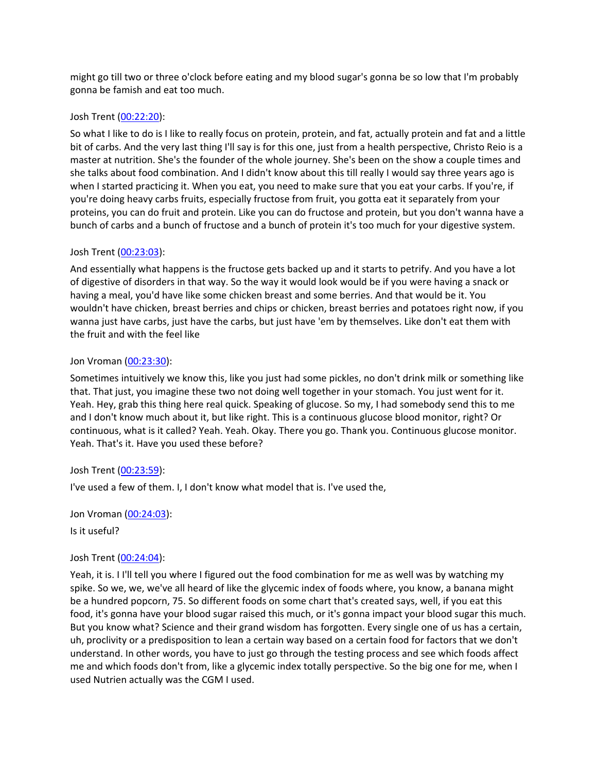might go till two or three o'clock before eating and my blood sugar's gonna be so low that I'm probably gonna be famish and eat too much.

### Josh Trent ([00:22:20](https://www.temi.com/editor/t/lDt1Y2438ZMtccGhL55QfwfFHlcxX4HPa5UArSv2oLQFy4JxMQsMClyMnnTeNLrjx6qEjNk9NZzri80afU2ewHUZ7so?loadFrom=DocumentDeeplink&ts=1340.52)):

So what I like to do is I like to really focus on protein, protein, and fat, actually protein and fat and a little bit of carbs. And the very last thing I'll say is for this one, just from a health perspective, Christo Reio is a master at nutrition. She's the founder of the whole journey. She's been on the show a couple times and she talks about food combination. And I didn't know about this till really I would say three years ago is when I started practicing it. When you eat, you need to make sure that you eat your carbs. If you're, if you're doing heavy carbs fruits, especially fructose from fruit, you gotta eat it separately from your proteins, you can do fruit and protein. Like you can do fructose and protein, but you don't wanna have a bunch of carbs and a bunch of fructose and a bunch of protein it's too much for your digestive system.

### Josh Trent ([00:23:03](https://www.temi.com/editor/t/lDt1Y2438ZMtccGhL55QfwfFHlcxX4HPa5UArSv2oLQFy4JxMQsMClyMnnTeNLrjx6qEjNk9NZzri80afU2ewHUZ7so?loadFrom=DocumentDeeplink&ts=1383.4)):

And essentially what happens is the fructose gets backed up and it starts to petrify. And you have a lot of digestive of disorders in that way. So the way it would look would be if you were having a snack or having a meal, you'd have like some chicken breast and some berries. And that would be it. You wouldn't have chicken, breast berries and chips or chicken, breast berries and potatoes right now, if you wanna just have carbs, just have the carbs, but just have 'em by themselves. Like don't eat them with the fruit and with the feel like

### Jon Vroman [\(00:23:30](https://www.temi.com/editor/t/lDt1Y2438ZMtccGhL55QfwfFHlcxX4HPa5UArSv2oLQFy4JxMQsMClyMnnTeNLrjx6qEjNk9NZzri80afU2ewHUZ7so?loadFrom=DocumentDeeplink&ts=1410.4)):

Sometimes intuitively we know this, like you just had some pickles, no don't drink milk or something like that. That just, you imagine these two not doing well together in your stomach. You just went for it. Yeah. Hey, grab this thing here real quick. Speaking of glucose. So my, I had somebody send this to me and I don't know much about it, but like right. This is a continuous glucose blood monitor, right? Or continuous, what is it called? Yeah. Yeah. Okay. There you go. Thank you. Continuous glucose monitor. Yeah. That's it. Have you used these before?

## Josh Trent ([00:23:59](https://www.temi.com/editor/t/lDt1Y2438ZMtccGhL55QfwfFHlcxX4HPa5UArSv2oLQFy4JxMQsMClyMnnTeNLrjx6qEjNk9NZzri80afU2ewHUZ7so?loadFrom=DocumentDeeplink&ts=1439.67)):

I've used a few of them. I, I don't know what model that is. I've used the,

Jon Vroman [\(00:24:03](https://www.temi.com/editor/t/lDt1Y2438ZMtccGhL55QfwfFHlcxX4HPa5UArSv2oLQFy4JxMQsMClyMnnTeNLrjx6qEjNk9NZzri80afU2ewHUZ7so?loadFrom=DocumentDeeplink&ts=1443.2)):

Is it useful?

## Josh Trent ([00:24:04](https://www.temi.com/editor/t/lDt1Y2438ZMtccGhL55QfwfFHlcxX4HPa5UArSv2oLQFy4JxMQsMClyMnnTeNLrjx6qEjNk9NZzri80afU2ewHUZ7so?loadFrom=DocumentDeeplink&ts=1444.62)):

Yeah, it is. I I'll tell you where I figured out the food combination for me as well was by watching my spike. So we, we, we've all heard of like the glycemic index of foods where, you know, a banana might be a hundred popcorn, 75. So different foods on some chart that's created says, well, if you eat this food, it's gonna have your blood sugar raised this much, or it's gonna impact your blood sugar this much. But you know what? Science and their grand wisdom has forgotten. Every single one of us has a certain, uh, proclivity or a predisposition to lean a certain way based on a certain food for factors that we don't understand. In other words, you have to just go through the testing process and see which foods affect me and which foods don't from, like a glycemic index totally perspective. So the big one for me, when I used Nutrien actually was the CGM I used.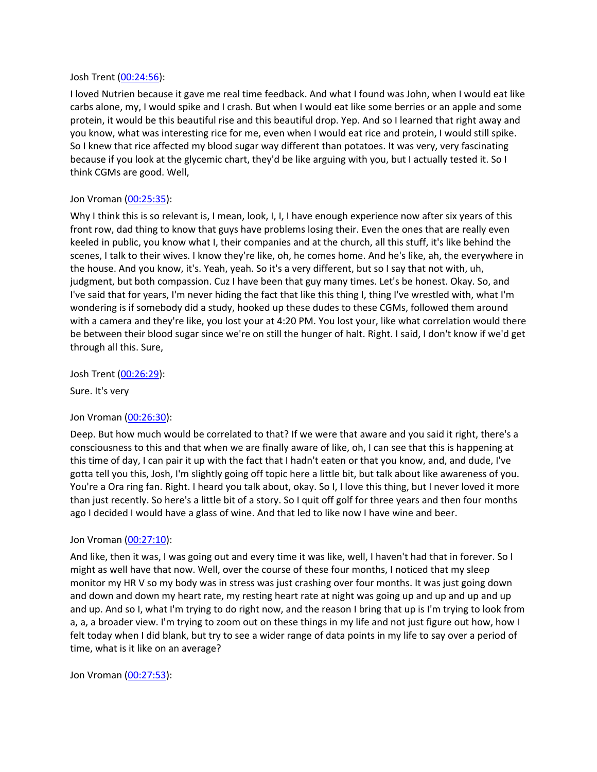### Josh Trent ([00:24:56](https://www.temi.com/editor/t/lDt1Y2438ZMtccGhL55QfwfFHlcxX4HPa5UArSv2oLQFy4JxMQsMClyMnnTeNLrjx6qEjNk9NZzri80afU2ewHUZ7so?loadFrom=DocumentDeeplink&ts=1496.21)):

I loved Nutrien because it gave me real time feedback. And what I found was John, when I would eat like carbs alone, my, I would spike and I crash. But when I would eat like some berries or an apple and some protein, it would be this beautiful rise and this beautiful drop. Yep. And so I learned that right away and you know, what was interesting rice for me, even when I would eat rice and protein, I would still spike. So I knew that rice affected my blood sugar way different than potatoes. It was very, very fascinating because if you look at the glycemic chart, they'd be like arguing with you, but I actually tested it. So I think CGMs are good. Well,

## Jon Vroman [\(00:25:35](https://www.temi.com/editor/t/lDt1Y2438ZMtccGhL55QfwfFHlcxX4HPa5UArSv2oLQFy4JxMQsMClyMnnTeNLrjx6qEjNk9NZzri80afU2ewHUZ7so?loadFrom=DocumentDeeplink&ts=1535.19)):

Why I think this is so relevant is, I mean, look, I, I, I have enough experience now after six years of this front row, dad thing to know that guys have problems losing their. Even the ones that are really even keeled in public, you know what I, their companies and at the church, all this stuff, it's like behind the scenes, I talk to their wives. I know they're like, oh, he comes home. And he's like, ah, the everywhere in the house. And you know, it's. Yeah, yeah. So it's a very different, but so I say that not with, uh, judgment, but both compassion. Cuz I have been that guy many times. Let's be honest. Okay. So, and I've said that for years, I'm never hiding the fact that like this thing I, thing I've wrestled with, what I'm wondering is if somebody did a study, hooked up these dudes to these CGMs, followed them around with a camera and they're like, you lost your at 4:20 PM. You lost your, like what correlation would there be between their blood sugar since we're on still the hunger of halt. Right. I said, I don't know if we'd get through all this. Sure,

Josh Trent ([00:26:29](https://www.temi.com/editor/t/lDt1Y2438ZMtccGhL55QfwfFHlcxX4HPa5UArSv2oLQFy4JxMQsMClyMnnTeNLrjx6qEjNk9NZzri80afU2ewHUZ7so?loadFrom=DocumentDeeplink&ts=1589.8)):

Sure. It's very

## Jon Vroman [\(00:26:30](https://www.temi.com/editor/t/lDt1Y2438ZMtccGhL55QfwfFHlcxX4HPa5UArSv2oLQFy4JxMQsMClyMnnTeNLrjx6qEjNk9NZzri80afU2ewHUZ7so?loadFrom=DocumentDeeplink&ts=1590.32)):

Deep. But how much would be correlated to that? If we were that aware and you said it right, there's a consciousness to this and that when we are finally aware of like, oh, I can see that this is happening at this time of day, I can pair it up with the fact that I hadn't eaten or that you know, and, and dude, I've gotta tell you this, Josh, I'm slightly going off topic here a little bit, but talk about like awareness of you. You're a Ora ring fan. Right. I heard you talk about, okay. So I, I love this thing, but I never loved it more than just recently. So here's a little bit of a story. So I quit off golf for three years and then four months ago I decided I would have a glass of wine. And that led to like now I have wine and beer.

## Jon Vroman [\(00:27:10](https://www.temi.com/editor/t/lDt1Y2438ZMtccGhL55QfwfFHlcxX4HPa5UArSv2oLQFy4JxMQsMClyMnnTeNLrjx6qEjNk9NZzri80afU2ewHUZ7so?loadFrom=DocumentDeeplink&ts=1630.81)):

And like, then it was, I was going out and every time it was like, well, I haven't had that in forever. So I might as well have that now. Well, over the course of these four months, I noticed that my sleep monitor my HR V so my body was in stress was just crashing over four months. It was just going down and down and down my heart rate, my resting heart rate at night was going up and up and up and up and up. And so I, what I'm trying to do right now, and the reason I bring that up is I'm trying to look from a, a, a broader view. I'm trying to zoom out on these things in my life and not just figure out how, how I felt today when I did blank, but try to see a wider range of data points in my life to say over a period of time, what is it like on an average?

Jon Vroman [\(00:27:53](https://www.temi.com/editor/t/lDt1Y2438ZMtccGhL55QfwfFHlcxX4HPa5UArSv2oLQFy4JxMQsMClyMnnTeNLrjx6qEjNk9NZzri80afU2ewHUZ7so?loadFrom=DocumentDeeplink&ts=1673.31)):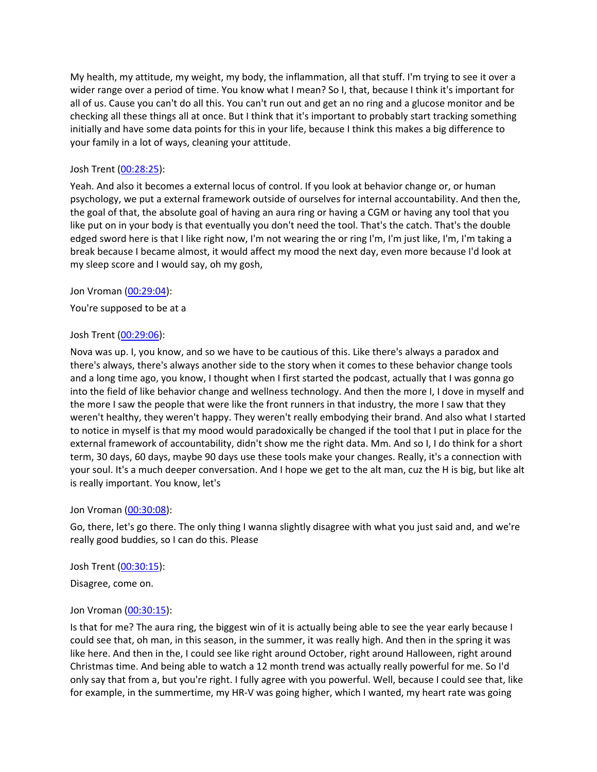My health, my attitude, my weight, my body, the inflammation, all that stuff. I'm trying to see it over a wider range over a period of time. You know what I mean? So I, that, because I think it's important for all of us. Cause you can't do all this. You can't run out and get an no ring and a glucose monitor and be checking all these things all at once. But I think that it's important to probably start tracking something initially and have some data points for this in your life, because I think this makes a big difference to your family in a lot of ways, cleaning your attitude.

## Josh Trent ([00:28:25](https://www.temi.com/editor/t/lDt1Y2438ZMtccGhL55QfwfFHlcxX4HPa5UArSv2oLQFy4JxMQsMClyMnnTeNLrjx6qEjNk9NZzri80afU2ewHUZ7so?loadFrom=DocumentDeeplink&ts=1705.74)):

Yeah. And also it becomes a external locus of control. If you look at behavior change or, or human psychology, we put a external framework outside of ourselves for internal accountability. And then the, the goal of that, the absolute goal of having an aura ring or having a CGM or having any tool that you like put on in your body is that eventually you don't need the tool. That's the catch. That's the double edged sword here is that I like right now, I'm not wearing the or ring I'm, I'm just like, I'm, I'm taking a break because I became almost, it would affect my mood the next day, even more because I'd look at my sleep score and I would say, oh my gosh,

## Jon Vroman [\(00:29:04](https://www.temi.com/editor/t/lDt1Y2438ZMtccGhL55QfwfFHlcxX4HPa5UArSv2oLQFy4JxMQsMClyMnnTeNLrjx6qEjNk9NZzri80afU2ewHUZ7so?loadFrom=DocumentDeeplink&ts=1744.4)):

You're supposed to be at a

### Josh Trent ([00:29:06](https://www.temi.com/editor/t/lDt1Y2438ZMtccGhL55QfwfFHlcxX4HPa5UArSv2oLQFy4JxMQsMClyMnnTeNLrjx6qEjNk9NZzri80afU2ewHUZ7so?loadFrom=DocumentDeeplink&ts=1746.77)):

Nova was up. I, you know, and so we have to be cautious of this. Like there's always a paradox and there's always, there's always another side to the story when it comes to these behavior change tools and a long time ago, you know, I thought when I first started the podcast, actually that I was gonna go into the field of like behavior change and wellness technology. And then the more I, I dove in myself and the more I saw the people that were like the front runners in that industry, the more I saw that they weren't healthy, they weren't happy. They weren't really embodying their brand. And also what I started to notice in myself is that my mood would paradoxically be changed if the tool that I put in place for the external framework of accountability, didn't show me the right data. Mm. And so I, I do think for a short term, 30 days, 60 days, maybe 90 days use these tools make your changes. Really, it's a connection with your soul. It's a much deeper conversation. And I hope we get to the alt man, cuz the H is big, but like alt is really important. You know, let's

### Jon Vroman [\(00:30:08](https://www.temi.com/editor/t/lDt1Y2438ZMtccGhL55QfwfFHlcxX4HPa5UArSv2oLQFy4JxMQsMClyMnnTeNLrjx6qEjNk9NZzri80afU2ewHUZ7so?loadFrom=DocumentDeeplink&ts=1808.35)):

Go, there, let's go there. The only thing I wanna slightly disagree with what you just said and, and we're really good buddies, so I can do this. Please

### Josh Trent ([00:30:15](https://www.temi.com/editor/t/lDt1Y2438ZMtccGhL55QfwfFHlcxX4HPa5UArSv2oLQFy4JxMQsMClyMnnTeNLrjx6qEjNk9NZzri80afU2ewHUZ7so?loadFrom=DocumentDeeplink&ts=1815.27)):

Disagree, come on.

## Jon Vroman [\(00:30:15](https://www.temi.com/editor/t/lDt1Y2438ZMtccGhL55QfwfFHlcxX4HPa5UArSv2oLQFy4JxMQsMClyMnnTeNLrjx6qEjNk9NZzri80afU2ewHUZ7so?loadFrom=DocumentDeeplink&ts=1815.93)):

Is that for me? The aura ring, the biggest win of it is actually being able to see the year early because I could see that, oh man, in this season, in the summer, it was really high. And then in the spring it was like here. And then in the, I could see like right around October, right around Halloween, right around Christmas time. And being able to watch a 12 month trend was actually really powerful for me. So I'd only say that from a, but you're right. I fully agree with you powerful. Well, because I could see that, like for example, in the summertime, my HR-V was going higher, which I wanted, my heart rate was going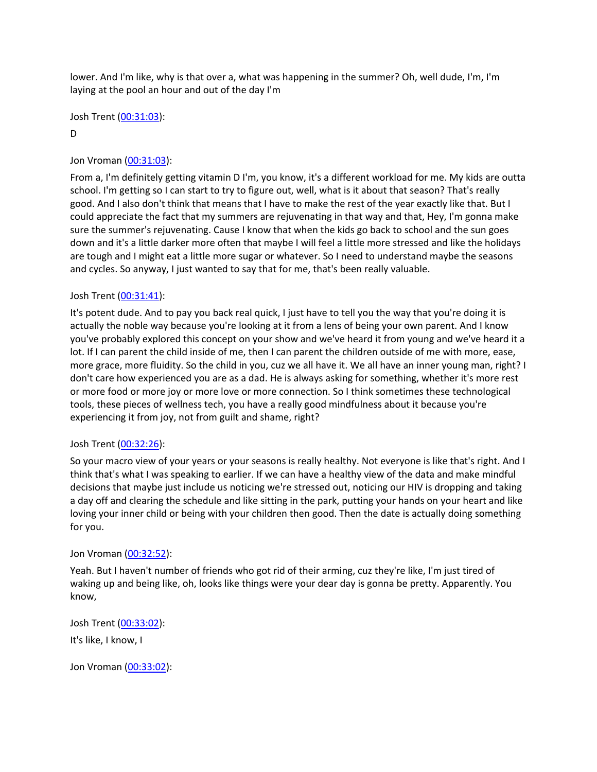lower. And I'm like, why is that over a, what was happening in the summer? Oh, well dude, I'm, I'm laying at the pool an hour and out of the day I'm

Josh Trent ([00:31:03](https://www.temi.com/editor/t/lDt1Y2438ZMtccGhL55QfwfFHlcxX4HPa5UArSv2oLQFy4JxMQsMClyMnnTeNLrjx6qEjNk9NZzri80afU2ewHUZ7so?loadFrom=DocumentDeeplink&ts=1863.48)):

## D

# Jon Vroman [\(00:31:03](https://www.temi.com/editor/t/lDt1Y2438ZMtccGhL55QfwfFHlcxX4HPa5UArSv2oLQFy4JxMQsMClyMnnTeNLrjx6qEjNk9NZzri80afU2ewHUZ7so?loadFrom=DocumentDeeplink&ts=1863.72)):

From a, I'm definitely getting vitamin D I'm, you know, it's a different workload for me. My kids are outta school. I'm getting so I can start to try to figure out, well, what is it about that season? That's really good. And I also don't think that means that I have to make the rest of the year exactly like that. But I could appreciate the fact that my summers are rejuvenating in that way and that, Hey, I'm gonna make sure the summer's rejuvenating. Cause I know that when the kids go back to school and the sun goes down and it's a little darker more often that maybe I will feel a little more stressed and like the holidays are tough and I might eat a little more sugar or whatever. So I need to understand maybe the seasons and cycles. So anyway, I just wanted to say that for me, that's been really valuable.

# Josh Trent ([00:31:41](https://www.temi.com/editor/t/lDt1Y2438ZMtccGhL55QfwfFHlcxX4HPa5UArSv2oLQFy4JxMQsMClyMnnTeNLrjx6qEjNk9NZzri80afU2ewHUZ7so?loadFrom=DocumentDeeplink&ts=1901.78)):

It's potent dude. And to pay you back real quick, I just have to tell you the way that you're doing it is actually the noble way because you're looking at it from a lens of being your own parent. And I know you've probably explored this concept on your show and we've heard it from young and we've heard it a lot. If I can parent the child inside of me, then I can parent the children outside of me with more, ease, more grace, more fluidity. So the child in you, cuz we all have it. We all have an inner young man, right? I don't care how experienced you are as a dad. He is always asking for something, whether it's more rest or more food or more joy or more love or more connection. So I think sometimes these technological tools, these pieces of wellness tech, you have a really good mindfulness about it because you're experiencing it from joy, not from guilt and shame, right?

## Josh Trent ([00:32:26](https://www.temi.com/editor/t/lDt1Y2438ZMtccGhL55QfwfFHlcxX4HPa5UArSv2oLQFy4JxMQsMClyMnnTeNLrjx6qEjNk9NZzri80afU2ewHUZ7so?loadFrom=DocumentDeeplink&ts=1946.54)):

So your macro view of your years or your seasons is really healthy. Not everyone is like that's right. And I think that's what I was speaking to earlier. If we can have a healthy view of the data and make mindful decisions that maybe just include us noticing we're stressed out, noticing our HIV is dropping and taking a day off and clearing the schedule and like sitting in the park, putting your hands on your heart and like loving your inner child or being with your children then good. Then the date is actually doing something for you.

## Jon Vroman [\(00:32:52](https://www.temi.com/editor/t/lDt1Y2438ZMtccGhL55QfwfFHlcxX4HPa5UArSv2oLQFy4JxMQsMClyMnnTeNLrjx6qEjNk9NZzri80afU2ewHUZ7so?loadFrom=DocumentDeeplink&ts=1972.75)):

Yeah. But I haven't number of friends who got rid of their arming, cuz they're like, I'm just tired of waking up and being like, oh, looks like things were your dear day is gonna be pretty. Apparently. You know,

Josh Trent ([00:33:02](https://www.temi.com/editor/t/lDt1Y2438ZMtccGhL55QfwfFHlcxX4HPa5UArSv2oLQFy4JxMQsMClyMnnTeNLrjx6qEjNk9NZzri80afU2ewHUZ7so?loadFrom=DocumentDeeplink&ts=1982.07)):

It's like, I know, I

Jon Vroman [\(00:33:02](https://www.temi.com/editor/t/lDt1Y2438ZMtccGhL55QfwfFHlcxX4HPa5UArSv2oLQFy4JxMQsMClyMnnTeNLrjx6qEjNk9NZzri80afU2ewHUZ7so?loadFrom=DocumentDeeplink&ts=1982.51)):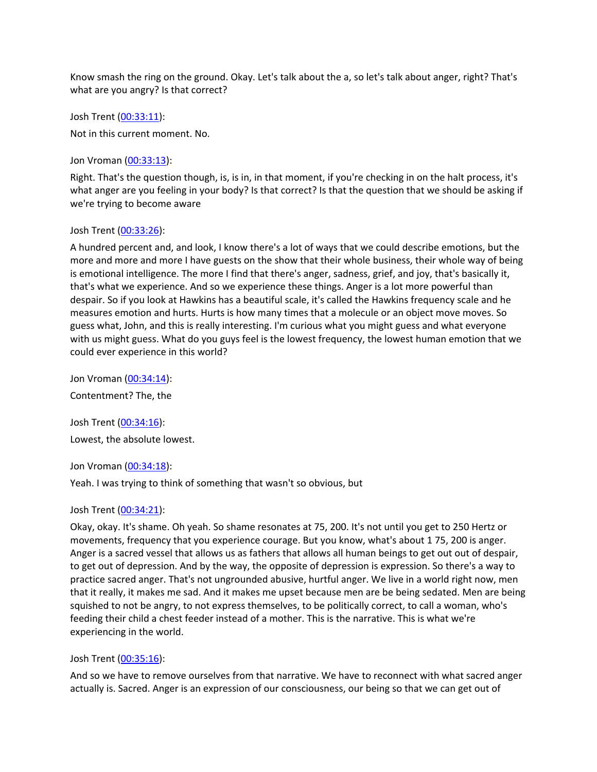Know smash the ring on the ground. Okay. Let's talk about the a, so let's talk about anger, right? That's what are you angry? Is that correct?

Josh Trent ([00:33:11](https://www.temi.com/editor/t/lDt1Y2438ZMtccGhL55QfwfFHlcxX4HPa5UArSv2oLQFy4JxMQsMClyMnnTeNLrjx6qEjNk9NZzri80afU2ewHUZ7so?loadFrom=DocumentDeeplink&ts=1991.13)):

Not in this current moment. No.

Jon Vroman [\(00:33:13](https://www.temi.com/editor/t/lDt1Y2438ZMtccGhL55QfwfFHlcxX4HPa5UArSv2oLQFy4JxMQsMClyMnnTeNLrjx6qEjNk9NZzri80afU2ewHUZ7so?loadFrom=DocumentDeeplink&ts=1993.24)):

Right. That's the question though, is, is in, in that moment, if you're checking in on the halt process, it's what anger are you feeling in your body? Is that correct? Is that the question that we should be asking if we're trying to become aware

### Josh Trent ([00:33:26](https://www.temi.com/editor/t/lDt1Y2438ZMtccGhL55QfwfFHlcxX4HPa5UArSv2oLQFy4JxMQsMClyMnnTeNLrjx6qEjNk9NZzri80afU2ewHUZ7so?loadFrom=DocumentDeeplink&ts=2006.22)):

A hundred percent and, and look, I know there's a lot of ways that we could describe emotions, but the more and more and more I have guests on the show that their whole business, their whole way of being is emotional intelligence. The more I find that there's anger, sadness, grief, and joy, that's basically it, that's what we experience. And so we experience these things. Anger is a lot more powerful than despair. So if you look at Hawkins has a beautiful scale, it's called the Hawkins frequency scale and he measures emotion and hurts. Hurts is how many times that a molecule or an object move moves. So guess what, John, and this is really interesting. I'm curious what you might guess and what everyone with us might guess. What do you guys feel is the lowest frequency, the lowest human emotion that we could ever experience in this world?

Jon Vroman [\(00:34:14](https://www.temi.com/editor/t/lDt1Y2438ZMtccGhL55QfwfFHlcxX4HPa5UArSv2oLQFy4JxMQsMClyMnnTeNLrjx6qEjNk9NZzri80afU2ewHUZ7so?loadFrom=DocumentDeeplink&ts=2054.81)): Contentment? The, the

Josh Trent ([00:34:16](https://www.temi.com/editor/t/lDt1Y2438ZMtccGhL55QfwfFHlcxX4HPa5UArSv2oLQFy4JxMQsMClyMnnTeNLrjx6qEjNk9NZzri80afU2ewHUZ7so?loadFrom=DocumentDeeplink&ts=2056.66)): Lowest, the absolute lowest.

Jon Vroman [\(00:34:18](https://www.temi.com/editor/t/lDt1Y2438ZMtccGhL55QfwfFHlcxX4HPa5UArSv2oLQFy4JxMQsMClyMnnTeNLrjx6qEjNk9NZzri80afU2ewHUZ7so?loadFrom=DocumentDeeplink&ts=2058.37)):

Yeah. I was trying to think of something that wasn't so obvious, but

### Josh Trent ([00:34:21](https://www.temi.com/editor/t/lDt1Y2438ZMtccGhL55QfwfFHlcxX4HPa5UArSv2oLQFy4JxMQsMClyMnnTeNLrjx6qEjNk9NZzri80afU2ewHUZ7so?loadFrom=DocumentDeeplink&ts=2061.81)):

Okay, okay. It's shame. Oh yeah. So shame resonates at 75, 200. It's not until you get to 250 Hertz or movements, frequency that you experience courage. But you know, what's about 1 75, 200 is anger. Anger is a sacred vessel that allows us as fathers that allows all human beings to get out out of despair, to get out of depression. And by the way, the opposite of depression is expression. So there's a way to practice sacred anger. That's not ungrounded abusive, hurtful anger. We live in a world right now, men that it really, it makes me sad. And it makes me upset because men are be being sedated. Men are being squished to not be angry, to not express themselves, to be politically correct, to call a woman, who's feeding their child a chest feeder instead of a mother. This is the narrative. This is what we're experiencing in the world.

## Josh Trent ([00:35:16](https://www.temi.com/editor/t/lDt1Y2438ZMtccGhL55QfwfFHlcxX4HPa5UArSv2oLQFy4JxMQsMClyMnnTeNLrjx6qEjNk9NZzri80afU2ewHUZ7so?loadFrom=DocumentDeeplink&ts=2116.23)):

And so we have to remove ourselves from that narrative. We have to reconnect with what sacred anger actually is. Sacred. Anger is an expression of our consciousness, our being so that we can get out of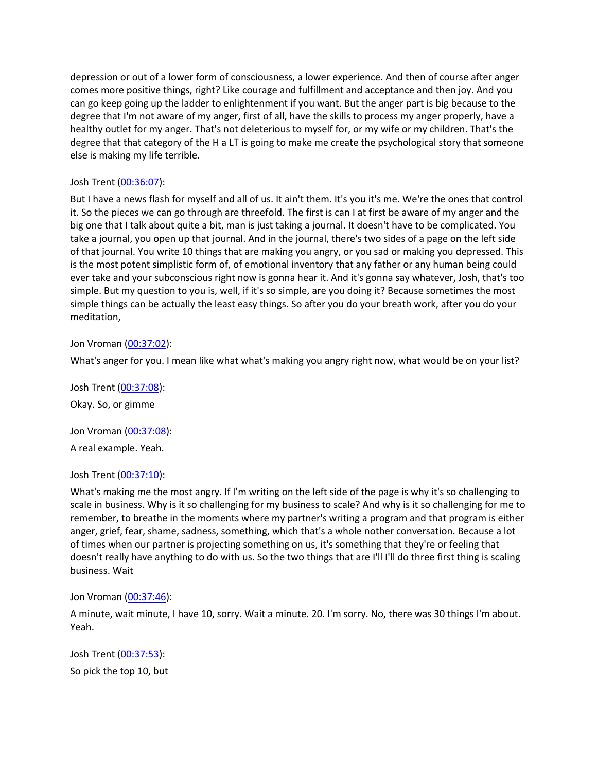depression or out of a lower form of consciousness, a lower experience. And then of course after anger comes more positive things, right? Like courage and fulfillment and acceptance and then joy. And you can go keep going up the ladder to enlightenment if you want. But the anger part is big because to the degree that I'm not aware of my anger, first of all, have the skills to process my anger properly, have a healthy outlet for my anger. That's not deleterious to myself for, or my wife or my children. That's the degree that that category of the H a LT is going to make me create the psychological story that someone else is making my life terrible.

## Josh Trent ([00:36:07](https://www.temi.com/editor/t/lDt1Y2438ZMtccGhL55QfwfFHlcxX4HPa5UArSv2oLQFy4JxMQsMClyMnnTeNLrjx6qEjNk9NZzri80afU2ewHUZ7so?loadFrom=DocumentDeeplink&ts=2167.25)):

But I have a news flash for myself and all of us. It ain't them. It's you it's me. We're the ones that control it. So the pieces we can go through are threefold. The first is can I at first be aware of my anger and the big one that I talk about quite a bit, man is just taking a journal. It doesn't have to be complicated. You take a journal, you open up that journal. And in the journal, there's two sides of a page on the left side of that journal. You write 10 things that are making you angry, or you sad or making you depressed. This is the most potent simplistic form of, of emotional inventory that any father or any human being could ever take and your subconscious right now is gonna hear it. And it's gonna say whatever, Josh, that's too simple. But my question to you is, well, if it's so simple, are you doing it? Because sometimes the most simple things can be actually the least easy things. So after you do your breath work, after you do your meditation,

Jon Vroman [\(00:37:02](https://www.temi.com/editor/t/lDt1Y2438ZMtccGhL55QfwfFHlcxX4HPa5UArSv2oLQFy4JxMQsMClyMnnTeNLrjx6qEjNk9NZzri80afU2ewHUZ7so?loadFrom=DocumentDeeplink&ts=2222.93)):

What's anger for you. I mean like what what's making you angry right now, what would be on your list?

Josh Trent ([00:37:08](https://www.temi.com/editor/t/lDt1Y2438ZMtccGhL55QfwfFHlcxX4HPa5UArSv2oLQFy4JxMQsMClyMnnTeNLrjx6qEjNk9NZzri80afU2ewHUZ7so?loadFrom=DocumentDeeplink&ts=2228.11)): Okay. So, or gimme

Jon Vroman [\(00:37:08](https://www.temi.com/editor/t/lDt1Y2438ZMtccGhL55QfwfFHlcxX4HPa5UArSv2oLQFy4JxMQsMClyMnnTeNLrjx6qEjNk9NZzri80afU2ewHUZ7so?loadFrom=DocumentDeeplink&ts=2228.67)): A real example. Yeah.

## Josh Trent ([00:37:10](https://www.temi.com/editor/t/lDt1Y2438ZMtccGhL55QfwfFHlcxX4HPa5UArSv2oLQFy4JxMQsMClyMnnTeNLrjx6qEjNk9NZzri80afU2ewHUZ7so?loadFrom=DocumentDeeplink&ts=2230.17)):

What's making me the most angry. If I'm writing on the left side of the page is why it's so challenging to scale in business. Why is it so challenging for my business to scale? And why is it so challenging for me to remember, to breathe in the moments where my partner's writing a program and that program is either anger, grief, fear, shame, sadness, something, which that's a whole nother conversation. Because a lot of times when our partner is projecting something on us, it's something that they're or feeling that doesn't really have anything to do with us. So the two things that are I'll I'll do three first thing is scaling business. Wait

Jon Vroman [\(00:37:46](https://www.temi.com/editor/t/lDt1Y2438ZMtccGhL55QfwfFHlcxX4HPa5UArSv2oLQFy4JxMQsMClyMnnTeNLrjx6qEjNk9NZzri80afU2ewHUZ7so?loadFrom=DocumentDeeplink&ts=2266.09)):

A minute, wait minute, I have 10, sorry. Wait a minute. 20. I'm sorry. No, there was 30 things I'm about. Yeah.

Josh Trent ([00:37:53](https://www.temi.com/editor/t/lDt1Y2438ZMtccGhL55QfwfFHlcxX4HPa5UArSv2oLQFy4JxMQsMClyMnnTeNLrjx6qEjNk9NZzri80afU2ewHUZ7so?loadFrom=DocumentDeeplink&ts=2273.43)): So pick the top 10, but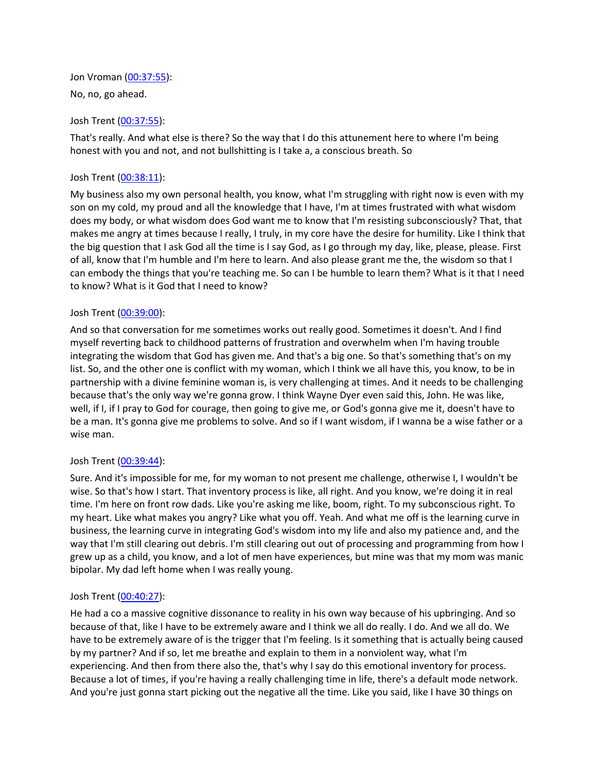Jon Vroman [\(00:37:55](https://www.temi.com/editor/t/lDt1Y2438ZMtccGhL55QfwfFHlcxX4HPa5UArSv2oLQFy4JxMQsMClyMnnTeNLrjx6qEjNk9NZzri80afU2ewHUZ7so?loadFrom=DocumentDeeplink&ts=2275.29)): No, no, go ahead.

## Josh Trent ([00:37:55](https://www.temi.com/editor/t/lDt1Y2438ZMtccGhL55QfwfFHlcxX4HPa5UArSv2oLQFy4JxMQsMClyMnnTeNLrjx6qEjNk9NZzri80afU2ewHUZ7so?loadFrom=DocumentDeeplink&ts=2275.99)):

That's really. And what else is there? So the way that I do this attunement here to where I'm being honest with you and not, and not bullshitting is I take a, a conscious breath. So

### Josh Trent ([00:38:11](https://www.temi.com/editor/t/lDt1Y2438ZMtccGhL55QfwfFHlcxX4HPa5UArSv2oLQFy4JxMQsMClyMnnTeNLrjx6qEjNk9NZzri80afU2ewHUZ7so?loadFrom=DocumentDeeplink&ts=2291.38)):

My business also my own personal health, you know, what I'm struggling with right now is even with my son on my cold, my proud and all the knowledge that I have, I'm at times frustrated with what wisdom does my body, or what wisdom does God want me to know that I'm resisting subconsciously? That, that makes me angry at times because I really, I truly, in my core have the desire for humility. Like I think that the big question that I ask God all the time is I say God, as I go through my day, like, please, please. First of all, know that I'm humble and I'm here to learn. And also please grant me the, the wisdom so that I can embody the things that you're teaching me. So can I be humble to learn them? What is it that I need to know? What is it God that I need to know?

### Josh Trent ([00:39:00](https://www.temi.com/editor/t/lDt1Y2438ZMtccGhL55QfwfFHlcxX4HPa5UArSv2oLQFy4JxMQsMClyMnnTeNLrjx6qEjNk9NZzri80afU2ewHUZ7so?loadFrom=DocumentDeeplink&ts=2340.77)):

And so that conversation for me sometimes works out really good. Sometimes it doesn't. And I find myself reverting back to childhood patterns of frustration and overwhelm when I'm having trouble integrating the wisdom that God has given me. And that's a big one. So that's something that's on my list. So, and the other one is conflict with my woman, which I think we all have this, you know, to be in partnership with a divine feminine woman is, is very challenging at times. And it needs to be challenging because that's the only way we're gonna grow. I think Wayne Dyer even said this, John. He was like, well, if I, if I pray to God for courage, then going to give me, or God's gonna give me it, doesn't have to be a man. It's gonna give me problems to solve. And so if I want wisdom, if I wanna be a wise father or a wise man.

### Josh Trent ([00:39:44](https://www.temi.com/editor/t/lDt1Y2438ZMtccGhL55QfwfFHlcxX4HPa5UArSv2oLQFy4JxMQsMClyMnnTeNLrjx6qEjNk9NZzri80afU2ewHUZ7so?loadFrom=DocumentDeeplink&ts=2384.61)):

Sure. And it's impossible for me, for my woman to not present me challenge, otherwise I, I wouldn't be wise. So that's how I start. That inventory process is like, all right. And you know, we're doing it in real time. I'm here on front row dads. Like you're asking me like, boom, right. To my subconscious right. To my heart. Like what makes you angry? Like what you off. Yeah. And what me off is the learning curve in business, the learning curve in integrating God's wisdom into my life and also my patience and, and the way that I'm still clearing out debris. I'm still clearing out out of processing and programming from how I grew up as a child, you know, and a lot of men have experiences, but mine was that my mom was manic bipolar. My dad left home when I was really young.

### Josh Trent ([00:40:27](https://www.temi.com/editor/t/lDt1Y2438ZMtccGhL55QfwfFHlcxX4HPa5UArSv2oLQFy4JxMQsMClyMnnTeNLrjx6qEjNk9NZzri80afU2ewHUZ7so?loadFrom=DocumentDeeplink&ts=2427.89)):

He had a co a massive cognitive dissonance to reality in his own way because of his upbringing. And so because of that, like I have to be extremely aware and I think we all do really. I do. And we all do. We have to be extremely aware of is the trigger that I'm feeling. Is it something that is actually being caused by my partner? And if so, let me breathe and explain to them in a nonviolent way, what I'm experiencing. And then from there also the, that's why I say do this emotional inventory for process. Because a lot of times, if you're having a really challenging time in life, there's a default mode network. And you're just gonna start picking out the negative all the time. Like you said, like I have 30 things on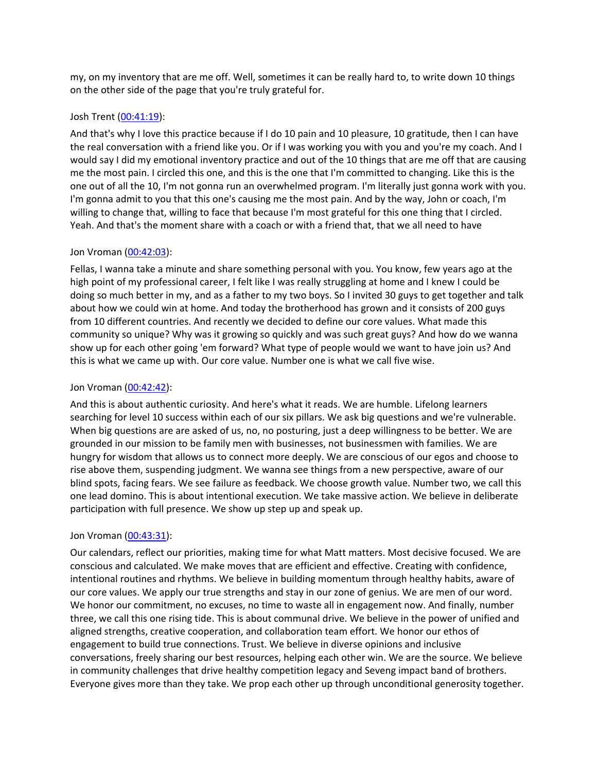my, on my inventory that are me off. Well, sometimes it can be really hard to, to write down 10 things on the other side of the page that you're truly grateful for.

### Josh Trent ([00:41:19](https://www.temi.com/editor/t/lDt1Y2438ZMtccGhL55QfwfFHlcxX4HPa5UArSv2oLQFy4JxMQsMClyMnnTeNLrjx6qEjNk9NZzri80afU2ewHUZ7so?loadFrom=DocumentDeeplink&ts=2479.2)):

And that's why I love this practice because if I do 10 pain and 10 pleasure, 10 gratitude, then I can have the real conversation with a friend like you. Or if I was working you with you and you're my coach. And I would say I did my emotional inventory practice and out of the 10 things that are me off that are causing me the most pain. I circled this one, and this is the one that I'm committed to changing. Like this is the one out of all the 10, I'm not gonna run an overwhelmed program. I'm literally just gonna work with you. I'm gonna admit to you that this one's causing me the most pain. And by the way, John or coach, I'm willing to change that, willing to face that because I'm most grateful for this one thing that I circled. Yeah. And that's the moment share with a coach or with a friend that, that we all need to have

### Jon Vroman [\(00:42:03](https://www.temi.com/editor/t/lDt1Y2438ZMtccGhL55QfwfFHlcxX4HPa5UArSv2oLQFy4JxMQsMClyMnnTeNLrjx6qEjNk9NZzri80afU2ewHUZ7so?loadFrom=DocumentDeeplink&ts=2523.47)):

Fellas, I wanna take a minute and share something personal with you. You know, few years ago at the high point of my professional career, I felt like I was really struggling at home and I knew I could be doing so much better in my, and as a father to my two boys. So I invited 30 guys to get together and talk about how we could win at home. And today the brotherhood has grown and it consists of 200 guys from 10 different countries. And recently we decided to define our core values. What made this community so unique? Why was it growing so quickly and was such great guys? And how do we wanna show up for each other going 'em forward? What type of people would we want to have join us? And this is what we came up with. Our core value. Number one is what we call five wise.

## Jon Vroman [\(00:42:42](https://www.temi.com/editor/t/lDt1Y2438ZMtccGhL55QfwfFHlcxX4HPa5UArSv2oLQFy4JxMQsMClyMnnTeNLrjx6qEjNk9NZzri80afU2ewHUZ7so?loadFrom=DocumentDeeplink&ts=2562.27)):

And this is about authentic curiosity. And here's what it reads. We are humble. Lifelong learners searching for level 10 success within each of our six pillars. We ask big questions and we're vulnerable. When big questions are are asked of us, no, no posturing, just a deep willingness to be better. We are grounded in our mission to be family men with businesses, not businessmen with families. We are hungry for wisdom that allows us to connect more deeply. We are conscious of our egos and choose to rise above them, suspending judgment. We wanna see things from a new perspective, aware of our blind spots, facing fears. We see failure as feedback. We choose growth value. Number two, we call this one lead domino. This is about intentional execution. We take massive action. We believe in deliberate participation with full presence. We show up step up and speak up.

### Jon Vroman [\(00:43:31](https://www.temi.com/editor/t/lDt1Y2438ZMtccGhL55QfwfFHlcxX4HPa5UArSv2oLQFy4JxMQsMClyMnnTeNLrjx6qEjNk9NZzri80afU2ewHUZ7so?loadFrom=DocumentDeeplink&ts=2611.93)):

Our calendars, reflect our priorities, making time for what Matt matters. Most decisive focused. We are conscious and calculated. We make moves that are efficient and effective. Creating with confidence, intentional routines and rhythms. We believe in building momentum through healthy habits, aware of our core values. We apply our true strengths and stay in our zone of genius. We are men of our word. We honor our commitment, no excuses, no time to waste all in engagement now. And finally, number three, we call this one rising tide. This is about communal drive. We believe in the power of unified and aligned strengths, creative cooperation, and collaboration team effort. We honor our ethos of engagement to build true connections. Trust. We believe in diverse opinions and inclusive conversations, freely sharing our best resources, helping each other win. We are the source. We believe in community challenges that drive healthy competition legacy and Seveng impact band of brothers. Everyone gives more than they take. We prop each other up through unconditional generosity together.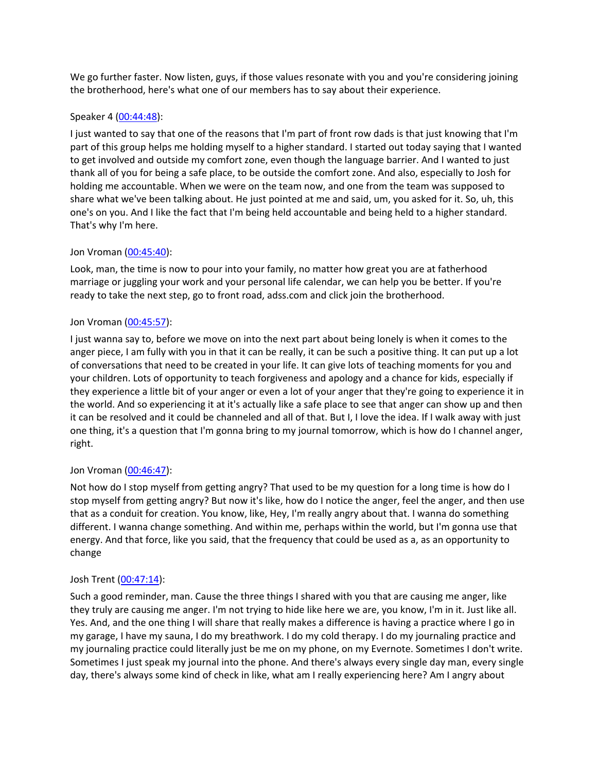We go further faster. Now listen, guys, if those values resonate with you and you're considering joining the brotherhood, here's what one of our members has to say about their experience.

## Speaker 4 ([00:44:48](https://www.temi.com/editor/t/lDt1Y2438ZMtccGhL55QfwfFHlcxX4HPa5UArSv2oLQFy4JxMQsMClyMnnTeNLrjx6qEjNk9NZzri80afU2ewHUZ7so?loadFrom=DocumentDeeplink&ts=2688.04)):

I just wanted to say that one of the reasons that I'm part of front row dads is that just knowing that I'm part of this group helps me holding myself to a higher standard. I started out today saying that I wanted to get involved and outside my comfort zone, even though the language barrier. And I wanted to just thank all of you for being a safe place, to be outside the comfort zone. And also, especially to Josh for holding me accountable. When we were on the team now, and one from the team was supposed to share what we've been talking about. He just pointed at me and said, um, you asked for it. So, uh, this one's on you. And I like the fact that I'm being held accountable and being held to a higher standard. That's why I'm here.

# Jon Vroman [\(00:45:40](https://www.temi.com/editor/t/lDt1Y2438ZMtccGhL55QfwfFHlcxX4HPa5UArSv2oLQFy4JxMQsMClyMnnTeNLrjx6qEjNk9NZzri80afU2ewHUZ7so?loadFrom=DocumentDeeplink&ts=2740.76)):

Look, man, the time is now to pour into your family, no matter how great you are at fatherhood marriage or juggling your work and your personal life calendar, we can help you be better. If you're ready to take the next step, go to front road, adss.com and click join the brotherhood.

# Jon Vroman [\(00:45:57](https://www.temi.com/editor/t/lDt1Y2438ZMtccGhL55QfwfFHlcxX4HPa5UArSv2oLQFy4JxMQsMClyMnnTeNLrjx6qEjNk9NZzri80afU2ewHUZ7so?loadFrom=DocumentDeeplink&ts=2757.88)):

I just wanna say to, before we move on into the next part about being lonely is when it comes to the anger piece, I am fully with you in that it can be really, it can be such a positive thing. It can put up a lot of conversations that need to be created in your life. It can give lots of teaching moments for you and your children. Lots of opportunity to teach forgiveness and apology and a chance for kids, especially if they experience a little bit of your anger or even a lot of your anger that they're going to experience it in the world. And so experiencing it at it's actually like a safe place to see that anger can show up and then it can be resolved and it could be channeled and all of that. But I, I love the idea. If I walk away with just one thing, it's a question that I'm gonna bring to my journal tomorrow, which is how do I channel anger, right.

## Jon Vroman [\(00:46:47](https://www.temi.com/editor/t/lDt1Y2438ZMtccGhL55QfwfFHlcxX4HPa5UArSv2oLQFy4JxMQsMClyMnnTeNLrjx6qEjNk9NZzri80afU2ewHUZ7so?loadFrom=DocumentDeeplink&ts=2807.7)):

Not how do I stop myself from getting angry? That used to be my question for a long time is how do I stop myself from getting angry? But now it's like, how do I notice the anger, feel the anger, and then use that as a conduit for creation. You know, like, Hey, I'm really angry about that. I wanna do something different. I wanna change something. And within me, perhaps within the world, but I'm gonna use that energy. And that force, like you said, that the frequency that could be used as a, as an opportunity to change

## Josh Trent ([00:47:14](https://www.temi.com/editor/t/lDt1Y2438ZMtccGhL55QfwfFHlcxX4HPa5UArSv2oLQFy4JxMQsMClyMnnTeNLrjx6qEjNk9NZzri80afU2ewHUZ7so?loadFrom=DocumentDeeplink&ts=2834.63)):

Such a good reminder, man. Cause the three things I shared with you that are causing me anger, like they truly are causing me anger. I'm not trying to hide like here we are, you know, I'm in it. Just like all. Yes. And, and the one thing I will share that really makes a difference is having a practice where I go in my garage, I have my sauna, I do my breathwork. I do my cold therapy. I do my journaling practice and my journaling practice could literally just be me on my phone, on my Evernote. Sometimes I don't write. Sometimes I just speak my journal into the phone. And there's always every single day man, every single day, there's always some kind of check in like, what am I really experiencing here? Am I angry about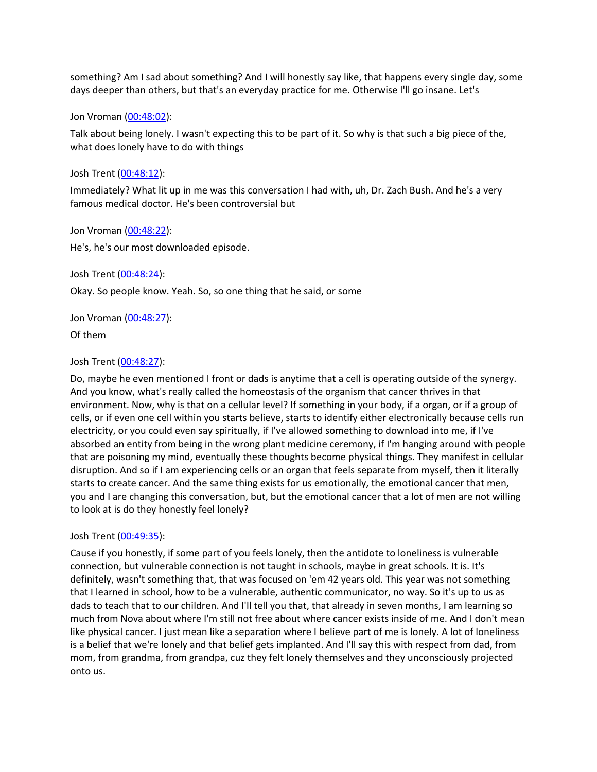something? Am I sad about something? And I will honestly say like, that happens every single day, some days deeper than others, but that's an everyday practice for me. Otherwise I'll go insane. Let's

Jon Vroman [\(00:48:02](https://www.temi.com/editor/t/lDt1Y2438ZMtccGhL55QfwfFHlcxX4HPa5UArSv2oLQFy4JxMQsMClyMnnTeNLrjx6qEjNk9NZzri80afU2ewHUZ7so?loadFrom=DocumentDeeplink&ts=2882.91)):

Talk about being lonely. I wasn't expecting this to be part of it. So why is that such a big piece of the, what does lonely have to do with things

Josh Trent ([00:48:12](https://www.temi.com/editor/t/lDt1Y2438ZMtccGhL55QfwfFHlcxX4HPa5UArSv2oLQFy4JxMQsMClyMnnTeNLrjx6qEjNk9NZzri80afU2ewHUZ7so?loadFrom=DocumentDeeplink&ts=2892.04)):

Immediately? What lit up in me was this conversation I had with, uh, Dr. Zach Bush. And he's a very famous medical doctor. He's been controversial but

Jon Vroman [\(00:48:22](https://www.temi.com/editor/t/lDt1Y2438ZMtccGhL55QfwfFHlcxX4HPa5UArSv2oLQFy4JxMQsMClyMnnTeNLrjx6qEjNk9NZzri80afU2ewHUZ7so?loadFrom=DocumentDeeplink&ts=2902)):

He's, he's our most downloaded episode.

Josh Trent ([00:48:24](https://www.temi.com/editor/t/lDt1Y2438ZMtccGhL55QfwfFHlcxX4HPa5UArSv2oLQFy4JxMQsMClyMnnTeNLrjx6qEjNk9NZzri80afU2ewHUZ7so?loadFrom=DocumentDeeplink&ts=2904.32)):

Okay. So people know. Yeah. So, so one thing that he said, or some

Jon Vroman [\(00:48:27](https://www.temi.com/editor/t/lDt1Y2438ZMtccGhL55QfwfFHlcxX4HPa5UArSv2oLQFy4JxMQsMClyMnnTeNLrjx6qEjNk9NZzri80afU2ewHUZ7so?loadFrom=DocumentDeeplink&ts=2907.77)):

Of them

#### Josh Trent ([00:48:27](https://www.temi.com/editor/t/lDt1Y2438ZMtccGhL55QfwfFHlcxX4HPa5UArSv2oLQFy4JxMQsMClyMnnTeNLrjx6qEjNk9NZzri80afU2ewHUZ7so?loadFrom=DocumentDeeplink&ts=2907.93)):

Do, maybe he even mentioned I front or dads is anytime that a cell is operating outside of the synergy. And you know, what's really called the homeostasis of the organism that cancer thrives in that environment. Now, why is that on a cellular level? If something in your body, if a organ, or if a group of cells, or if even one cell within you starts believe, starts to identify either electronically because cells run electricity, or you could even say spiritually, if I've allowed something to download into me, if I've absorbed an entity from being in the wrong plant medicine ceremony, if I'm hanging around with people that are poisoning my mind, eventually these thoughts become physical things. They manifest in cellular disruption. And so if I am experiencing cells or an organ that feels separate from myself, then it literally starts to create cancer. And the same thing exists for us emotionally, the emotional cancer that men, you and I are changing this conversation, but, but the emotional cancer that a lot of men are not willing to look at is do they honestly feel lonely?

### Josh Trent ([00:49:35](https://www.temi.com/editor/t/lDt1Y2438ZMtccGhL55QfwfFHlcxX4HPa5UArSv2oLQFy4JxMQsMClyMnnTeNLrjx6qEjNk9NZzri80afU2ewHUZ7so?loadFrom=DocumentDeeplink&ts=2975.05)):

Cause if you honestly, if some part of you feels lonely, then the antidote to loneliness is vulnerable connection, but vulnerable connection is not taught in schools, maybe in great schools. It is. It's definitely, wasn't something that, that was focused on 'em 42 years old. This year was not something that I learned in school, how to be a vulnerable, authentic communicator, no way. So it's up to us as dads to teach that to our children. And I'll tell you that, that already in seven months, I am learning so much from Nova about where I'm still not free about where cancer exists inside of me. And I don't mean like physical cancer. I just mean like a separation where I believe part of me is lonely. A lot of loneliness is a belief that we're lonely and that belief gets implanted. And I'll say this with respect from dad, from mom, from grandma, from grandpa, cuz they felt lonely themselves and they unconsciously projected onto us.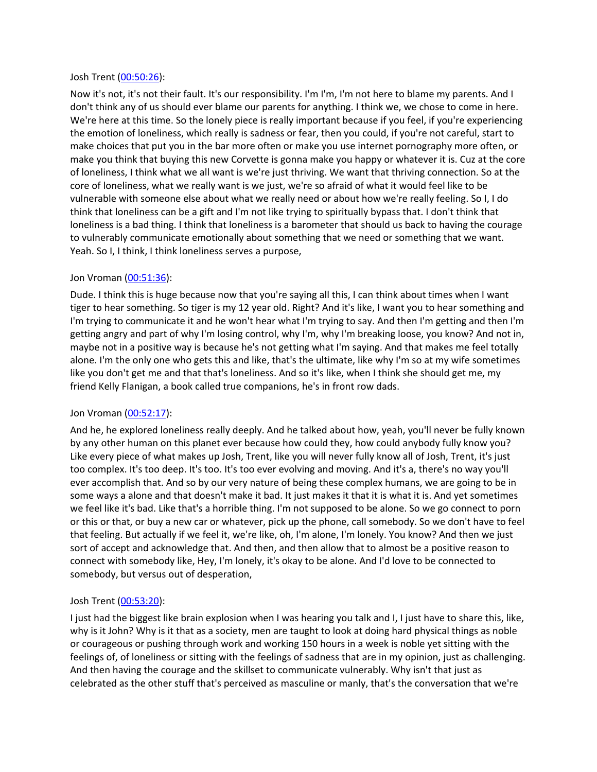### Josh Trent ([00:50:26](https://www.temi.com/editor/t/lDt1Y2438ZMtccGhL55QfwfFHlcxX4HPa5UArSv2oLQFy4JxMQsMClyMnnTeNLrjx6qEjNk9NZzri80afU2ewHUZ7so?loadFrom=DocumentDeeplink&ts=3026.09)):

Now it's not, it's not their fault. It's our responsibility. I'm I'm, I'm not here to blame my parents. And I don't think any of us should ever blame our parents for anything. I think we, we chose to come in here. We're here at this time. So the lonely piece is really important because if you feel, if you're experiencing the emotion of loneliness, which really is sadness or fear, then you could, if you're not careful, start to make choices that put you in the bar more often or make you use internet pornography more often, or make you think that buying this new Corvette is gonna make you happy or whatever it is. Cuz at the core of loneliness, I think what we all want is we're just thriving. We want that thriving connection. So at the core of loneliness, what we really want is we just, we're so afraid of what it would feel like to be vulnerable with someone else about what we really need or about how we're really feeling. So I, I do think that loneliness can be a gift and I'm not like trying to spiritually bypass that. I don't think that loneliness is a bad thing. I think that loneliness is a barometer that should us back to having the courage to vulnerably communicate emotionally about something that we need or something that we want. Yeah. So I, I think, I think loneliness serves a purpose,

### Jon Vroman [\(00:51:36](https://www.temi.com/editor/t/lDt1Y2438ZMtccGhL55QfwfFHlcxX4HPa5UArSv2oLQFy4JxMQsMClyMnnTeNLrjx6qEjNk9NZzri80afU2ewHUZ7so?loadFrom=DocumentDeeplink&ts=3096)):

Dude. I think this is huge because now that you're saying all this, I can think about times when I want tiger to hear something. So tiger is my 12 year old. Right? And it's like, I want you to hear something and I'm trying to communicate it and he won't hear what I'm trying to say. And then I'm getting and then I'm getting angry and part of why I'm losing control, why I'm, why I'm breaking loose, you know? And not in, maybe not in a positive way is because he's not getting what I'm saying. And that makes me feel totally alone. I'm the only one who gets this and like, that's the ultimate, like why I'm so at my wife sometimes like you don't get me and that that's loneliness. And so it's like, when I think she should get me, my friend Kelly Flanigan, a book called true companions, he's in front row dads.

### Jon Vroman [\(00:52:17](https://www.temi.com/editor/t/lDt1Y2438ZMtccGhL55QfwfFHlcxX4HPa5UArSv2oLQFy4JxMQsMClyMnnTeNLrjx6qEjNk9NZzri80afU2ewHUZ7so?loadFrom=DocumentDeeplink&ts=3137.47)):

And he, he explored loneliness really deeply. And he talked about how, yeah, you'll never be fully known by any other human on this planet ever because how could they, how could anybody fully know you? Like every piece of what makes up Josh, Trent, like you will never fully know all of Josh, Trent, it's just too complex. It's too deep. It's too. It's too ever evolving and moving. And it's a, there's no way you'll ever accomplish that. And so by our very nature of being these complex humans, we are going to be in some ways a alone and that doesn't make it bad. It just makes it that it is what it is. And yet sometimes we feel like it's bad. Like that's a horrible thing. I'm not supposed to be alone. So we go connect to porn or this or that, or buy a new car or whatever, pick up the phone, call somebody. So we don't have to feel that feeling. But actually if we feel it, we're like, oh, I'm alone, I'm lonely. You know? And then we just sort of accept and acknowledge that. And then, and then allow that to almost be a positive reason to connect with somebody like, Hey, I'm lonely, it's okay to be alone. And I'd love to be connected to somebody, but versus out of desperation,

### Josh Trent ([00:53:20](https://www.temi.com/editor/t/lDt1Y2438ZMtccGhL55QfwfFHlcxX4HPa5UArSv2oLQFy4JxMQsMClyMnnTeNLrjx6qEjNk9NZzri80afU2ewHUZ7so?loadFrom=DocumentDeeplink&ts=3200.32)):

I just had the biggest like brain explosion when I was hearing you talk and I, I just have to share this, like, why is it John? Why is it that as a society, men are taught to look at doing hard physical things as noble or courageous or pushing through work and working 150 hours in a week is noble yet sitting with the feelings of, of loneliness or sitting with the feelings of sadness that are in my opinion, just as challenging. And then having the courage and the skillset to communicate vulnerably. Why isn't that just as celebrated as the other stuff that's perceived as masculine or manly, that's the conversation that we're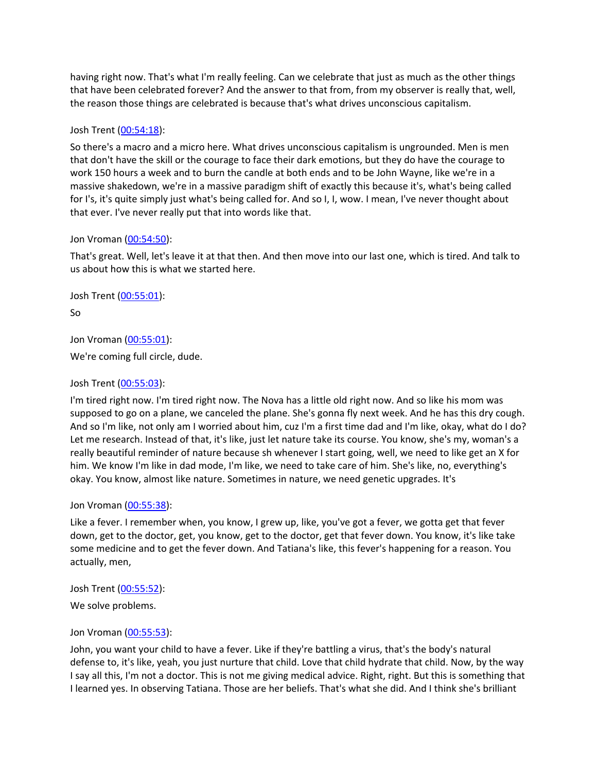having right now. That's what I'm really feeling. Can we celebrate that just as much as the other things that have been celebrated forever? And the answer to that from, from my observer is really that, well, the reason those things are celebrated is because that's what drives unconscious capitalism.

## Josh Trent ([00:54:18](https://www.temi.com/editor/t/lDt1Y2438ZMtccGhL55QfwfFHlcxX4HPa5UArSv2oLQFy4JxMQsMClyMnnTeNLrjx6qEjNk9NZzri80afU2ewHUZ7so?loadFrom=DocumentDeeplink&ts=3258.48)):

So there's a macro and a micro here. What drives unconscious capitalism is ungrounded. Men is men that don't have the skill or the courage to face their dark emotions, but they do have the courage to work 150 hours a week and to burn the candle at both ends and to be John Wayne, like we're in a massive shakedown, we're in a massive paradigm shift of exactly this because it's, what's being called for I's, it's quite simply just what's being called for. And so I, I, wow. I mean, I've never thought about that ever. I've never really put that into words like that.

# Jon Vroman [\(00:54:50](https://www.temi.com/editor/t/lDt1Y2438ZMtccGhL55QfwfFHlcxX4HPa5UArSv2oLQFy4JxMQsMClyMnnTeNLrjx6qEjNk9NZzri80afU2ewHUZ7so?loadFrom=DocumentDeeplink&ts=3290.54)):

That's great. Well, let's leave it at that then. And then move into our last one, which is tired. And talk to us about how this is what we started here.

Josh Trent ([00:55:01](https://www.temi.com/editor/t/lDt1Y2438ZMtccGhL55QfwfFHlcxX4HPa5UArSv2oLQFy4JxMQsMClyMnnTeNLrjx6qEjNk9NZzri80afU2ewHUZ7so?loadFrom=DocumentDeeplink&ts=3301.04)):

So

Jon Vroman [\(00:55:01](https://www.temi.com/editor/t/lDt1Y2438ZMtccGhL55QfwfFHlcxX4HPa5UArSv2oLQFy4JxMQsMClyMnnTeNLrjx6qEjNk9NZzri80afU2ewHUZ7so?loadFrom=DocumentDeeplink&ts=3301.96)): We're coming full circle, dude.

# Josh Trent ([00:55:03](https://www.temi.com/editor/t/lDt1Y2438ZMtccGhL55QfwfFHlcxX4HPa5UArSv2oLQFy4JxMQsMClyMnnTeNLrjx6qEjNk9NZzri80afU2ewHUZ7so?loadFrom=DocumentDeeplink&ts=3303.3)):

I'm tired right now. I'm tired right now. The Nova has a little old right now. And so like his mom was supposed to go on a plane, we canceled the plane. She's gonna fly next week. And he has this dry cough. And so I'm like, not only am I worried about him, cuz I'm a first time dad and I'm like, okay, what do I do? Let me research. Instead of that, it's like, just let nature take its course. You know, she's my, woman's a really beautiful reminder of nature because sh whenever I start going, well, we need to like get an X for him. We know I'm like in dad mode, I'm like, we need to take care of him. She's like, no, everything's okay. You know, almost like nature. Sometimes in nature, we need genetic upgrades. It's

## Jon Vroman [\(00:55:38](https://www.temi.com/editor/t/lDt1Y2438ZMtccGhL55QfwfFHlcxX4HPa5UArSv2oLQFy4JxMQsMClyMnnTeNLrjx6qEjNk9NZzri80afU2ewHUZ7so?loadFrom=DocumentDeeplink&ts=3338.26)):

Like a fever. I remember when, you know, I grew up, like, you've got a fever, we gotta get that fever down, get to the doctor, get, you know, get to the doctor, get that fever down. You know, it's like take some medicine and to get the fever down. And Tatiana's like, this fever's happening for a reason. You actually, men,

Josh Trent ([00:55:52](https://www.temi.com/editor/t/lDt1Y2438ZMtccGhL55QfwfFHlcxX4HPa5UArSv2oLQFy4JxMQsMClyMnnTeNLrjx6qEjNk9NZzri80afU2ewHUZ7so?loadFrom=DocumentDeeplink&ts=3352.65)):

We solve problems.

## Jon Vroman [\(00:55:53](https://www.temi.com/editor/t/lDt1Y2438ZMtccGhL55QfwfFHlcxX4HPa5UArSv2oLQFy4JxMQsMClyMnnTeNLrjx6qEjNk9NZzri80afU2ewHUZ7so?loadFrom=DocumentDeeplink&ts=3353.69)):

John, you want your child to have a fever. Like if they're battling a virus, that's the body's natural defense to, it's like, yeah, you just nurture that child. Love that child hydrate that child. Now, by the way I say all this, I'm not a doctor. This is not me giving medical advice. Right, right. But this is something that I learned yes. In observing Tatiana. Those are her beliefs. That's what she did. And I think she's brilliant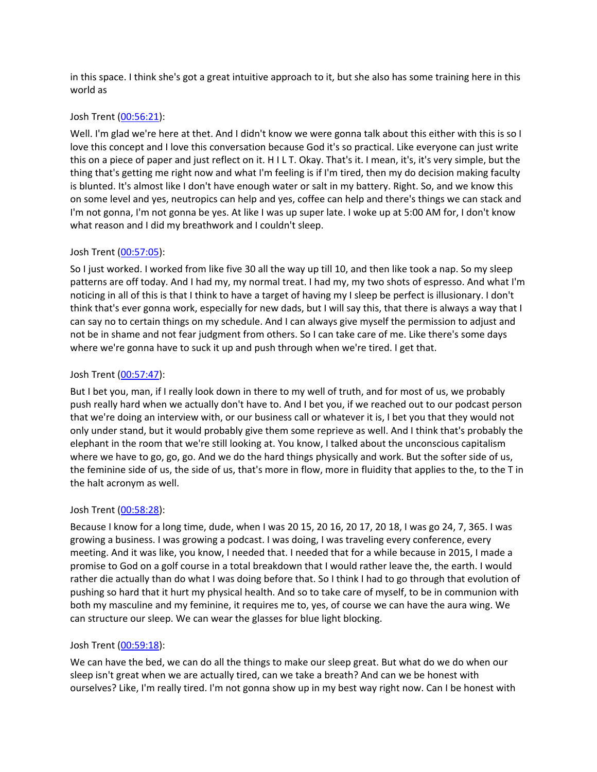in this space. I think she's got a great intuitive approach to it, but she also has some training here in this world as

## Josh Trent ([00:56:21](https://www.temi.com/editor/t/lDt1Y2438ZMtccGhL55QfwfFHlcxX4HPa5UArSv2oLQFy4JxMQsMClyMnnTeNLrjx6qEjNk9NZzri80afU2ewHUZ7so?loadFrom=DocumentDeeplink&ts=3381.44)):

Well. I'm glad we're here at thet. And I didn't know we were gonna talk about this either with this is so I love this concept and I love this conversation because God it's so practical. Like everyone can just write this on a piece of paper and just reflect on it. H I L T. Okay. That's it. I mean, it's, it's very simple, but the thing that's getting me right now and what I'm feeling is if I'm tired, then my do decision making faculty is blunted. It's almost like I don't have enough water or salt in my battery. Right. So, and we know this on some level and yes, neutropics can help and yes, coffee can help and there's things we can stack and I'm not gonna, I'm not gonna be yes. At like I was up super late. I woke up at 5:00 AM for, I don't know what reason and I did my breathwork and I couldn't sleep.

# Josh Trent ([00:57:05](https://www.temi.com/editor/t/lDt1Y2438ZMtccGhL55QfwfFHlcxX4HPa5UArSv2oLQFy4JxMQsMClyMnnTeNLrjx6qEjNk9NZzri80afU2ewHUZ7so?loadFrom=DocumentDeeplink&ts=3425.3)):

So I just worked. I worked from like five 30 all the way up till 10, and then like took a nap. So my sleep patterns are off today. And I had my, my normal treat. I had my, my two shots of espresso. And what I'm noticing in all of this is that I think to have a target of having my I sleep be perfect is illusionary. I don't think that's ever gonna work, especially for new dads, but I will say this, that there is always a way that I can say no to certain things on my schedule. And I can always give myself the permission to adjust and not be in shame and not fear judgment from others. So I can take care of me. Like there's some days where we're gonna have to suck it up and push through when we're tired. I get that.

# Josh Trent ([00:57:47](https://www.temi.com/editor/t/lDt1Y2438ZMtccGhL55QfwfFHlcxX4HPa5UArSv2oLQFy4JxMQsMClyMnnTeNLrjx6qEjNk9NZzri80afU2ewHUZ7so?loadFrom=DocumentDeeplink&ts=3467.74)):

But I bet you, man, if I really look down in there to my well of truth, and for most of us, we probably push really hard when we actually don't have to. And I bet you, if we reached out to our podcast person that we're doing an interview with, or our business call or whatever it is, I bet you that they would not only under stand, but it would probably give them some reprieve as well. And I think that's probably the elephant in the room that we're still looking at. You know, I talked about the unconscious capitalism where we have to go, go, go. And we do the hard things physically and work. But the softer side of us, the feminine side of us, the side of us, that's more in flow, more in fluidity that applies to the, to the T in the halt acronym as well.

## Josh Trent ([00:58:28](https://www.temi.com/editor/t/lDt1Y2438ZMtccGhL55QfwfFHlcxX4HPa5UArSv2oLQFy4JxMQsMClyMnnTeNLrjx6qEjNk9NZzri80afU2ewHUZ7so?loadFrom=DocumentDeeplink&ts=3508.81)):

Because I know for a long time, dude, when I was 20 15, 20 16, 20 17, 20 18, I was go 24, 7, 365. I was growing a business. I was growing a podcast. I was doing, I was traveling every conference, every meeting. And it was like, you know, I needed that. I needed that for a while because in 2015, I made a promise to God on a golf course in a total breakdown that I would rather leave the, the earth. I would rather die actually than do what I was doing before that. So I think I had to go through that evolution of pushing so hard that it hurt my physical health. And so to take care of myself, to be in communion with both my masculine and my feminine, it requires me to, yes, of course we can have the aura wing. We can structure our sleep. We can wear the glasses for blue light blocking.

## Josh Trent ([00:59:18](https://www.temi.com/editor/t/lDt1Y2438ZMtccGhL55QfwfFHlcxX4HPa5UArSv2oLQFy4JxMQsMClyMnnTeNLrjx6qEjNk9NZzri80afU2ewHUZ7so?loadFrom=DocumentDeeplink&ts=3558.94)):

We can have the bed, we can do all the things to make our sleep great. But what do we do when our sleep isn't great when we are actually tired, can we take a breath? And can we be honest with ourselves? Like, I'm really tired. I'm not gonna show up in my best way right now. Can I be honest with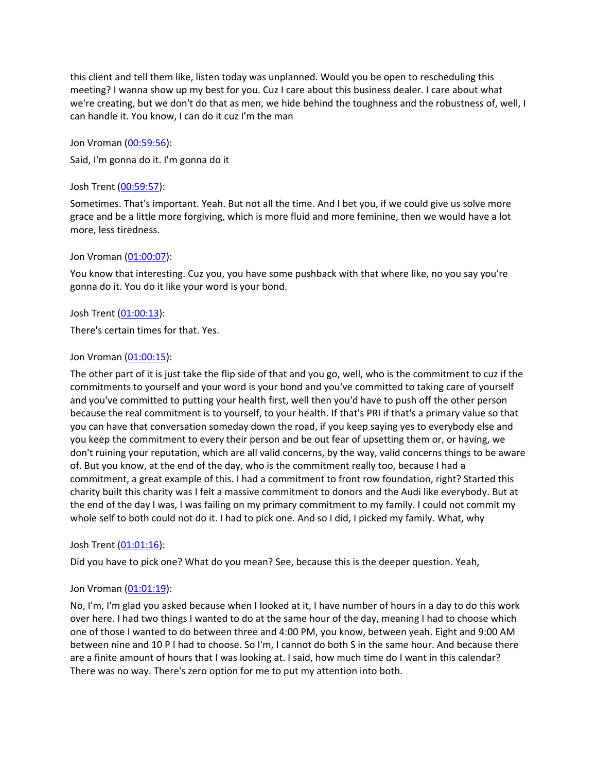this client and tell them like, listen today was unplanned. Would you be open to rescheduling this meeting? I wanna show up my best for you. Cuz I care about this business dealer. I care about what we're creating, but we don't do that as men, we hide behind the toughness and the robustness of, well, I can handle it. You know, I can do it cuz I'm the man

Jon Vroman [\(00:59:56](https://www.temi.com/editor/t/lDt1Y2438ZMtccGhL55QfwfFHlcxX4HPa5UArSv2oLQFy4JxMQsMClyMnnTeNLrjx6qEjNk9NZzri80afU2ewHUZ7so?loadFrom=DocumentDeeplink&ts=3596.27)): Said, I'm gonna do it. I'm gonna do it

## Josh Trent ([00:59:57](https://www.temi.com/editor/t/lDt1Y2438ZMtccGhL55QfwfFHlcxX4HPa5UArSv2oLQFy4JxMQsMClyMnnTeNLrjx6qEjNk9NZzri80afU2ewHUZ7so?loadFrom=DocumentDeeplink&ts=3597.43)):

Sometimes. That's important. Yeah. But not all the time. And I bet you, if we could give us solve more grace and be a little more forgiving, which is more fluid and more feminine, then we would have a lot more, less tiredness.

## Jon Vroman [\(01:00:07](https://www.temi.com/editor/t/lDt1Y2438ZMtccGhL55QfwfFHlcxX4HPa5UArSv2oLQFy4JxMQsMClyMnnTeNLrjx6qEjNk9NZzri80afU2ewHUZ7so?loadFrom=DocumentDeeplink&ts=3607.92)):

You know that interesting. Cuz you, you have some pushback with that where like, no you say you're gonna do it. You do it like your word is your bond.

# Josh Trent ([01:00:13](https://www.temi.com/editor/t/lDt1Y2438ZMtccGhL55QfwfFHlcxX4HPa5UArSv2oLQFy4JxMQsMClyMnnTeNLrjx6qEjNk9NZzri80afU2ewHUZ7so?loadFrom=DocumentDeeplink&ts=3613.93)):

There's certain times for that. Yes.

## Jon Vroman [\(01:00:15](https://www.temi.com/editor/t/lDt1Y2438ZMtccGhL55QfwfFHlcxX4HPa5UArSv2oLQFy4JxMQsMClyMnnTeNLrjx6qEjNk9NZzri80afU2ewHUZ7so?loadFrom=DocumentDeeplink&ts=3615.48)):

The other part of it is just take the flip side of that and you go, well, who is the commitment to cuz if the commitments to yourself and your word is your bond and you've committed to taking care of yourself and you've committed to putting your health first, well then you'd have to push off the other person because the real commitment is to yourself, to your health. If that's PRI if that's a primary value so that you can have that conversation someday down the road, if you keep saying yes to everybody else and you keep the commitment to every their person and be out fear of upsetting them or, or having, we don't ruining your reputation, which are all valid concerns, by the way, valid concerns things to be aware of. But you know, at the end of the day, who is the commitment really too, because I had a commitment, a great example of this. I had a commitment to front row foundation, right? Started this charity built this charity was I felt a massive commitment to donors and the Audi like everybody. But at the end of the day I was, I was failing on my primary commitment to my family. I could not commit my whole self to both could not do it. I had to pick one. And so I did, I picked my family. What, why

## Josh Trent ([01:01:16](https://www.temi.com/editor/t/lDt1Y2438ZMtccGhL55QfwfFHlcxX4HPa5UArSv2oLQFy4JxMQsMClyMnnTeNLrjx6qEjNk9NZzri80afU2ewHUZ7so?loadFrom=DocumentDeeplink&ts=3676.23)):

Did you have to pick one? What do you mean? See, because this is the deeper question. Yeah,

## Jon Vroman [\(01:01:19](https://www.temi.com/editor/t/lDt1Y2438ZMtccGhL55QfwfFHlcxX4HPa5UArSv2oLQFy4JxMQsMClyMnnTeNLrjx6qEjNk9NZzri80afU2ewHUZ7so?loadFrom=DocumentDeeplink&ts=3679.59)):

No, I'm, I'm glad you asked because when I looked at it, I have number of hours in a day to do this work over here. I had two things I wanted to do at the same hour of the day, meaning I had to choose which one of those I wanted to do between three and 4:00 PM, you know, between yeah. Eight and 9:00 AM between nine and 10 P I had to choose. So I'm, I cannot do both S in the same hour. And because there are a finite amount of hours that I was looking at. I said, how much time do I want in this calendar? There was no way. There's zero option for me to put my attention into both.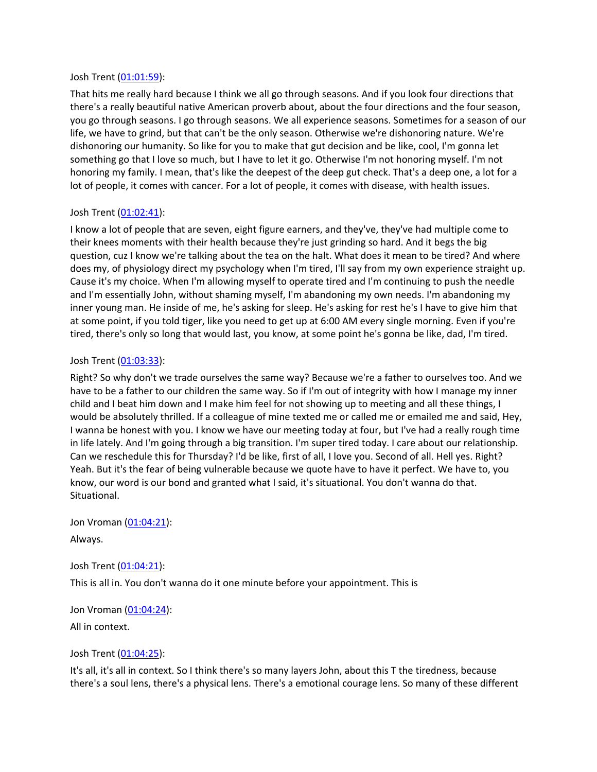### Josh Trent ([01:01:59](https://www.temi.com/editor/t/lDt1Y2438ZMtccGhL55QfwfFHlcxX4HPa5UArSv2oLQFy4JxMQsMClyMnnTeNLrjx6qEjNk9NZzri80afU2ewHUZ7so?loadFrom=DocumentDeeplink&ts=3719.4)):

That hits me really hard because I think we all go through seasons. And if you look four directions that there's a really beautiful native American proverb about, about the four directions and the four season, you go through seasons. I go through seasons. We all experience seasons. Sometimes for a season of our life, we have to grind, but that can't be the only season. Otherwise we're dishonoring nature. We're dishonoring our humanity. So like for you to make that gut decision and be like, cool, I'm gonna let something go that I love so much, but I have to let it go. Otherwise I'm not honoring myself. I'm not honoring my family. I mean, that's like the deepest of the deep gut check. That's a deep one, a lot for a lot of people, it comes with cancer. For a lot of people, it comes with disease, with health issues.

## Josh Trent ([01:02:41](https://www.temi.com/editor/t/lDt1Y2438ZMtccGhL55QfwfFHlcxX4HPa5UArSv2oLQFy4JxMQsMClyMnnTeNLrjx6qEjNk9NZzri80afU2ewHUZ7so?loadFrom=DocumentDeeplink&ts=3761.99)):

I know a lot of people that are seven, eight figure earners, and they've, they've had multiple come to their knees moments with their health because they're just grinding so hard. And it begs the big question, cuz I know we're talking about the tea on the halt. What does it mean to be tired? And where does my, of physiology direct my psychology when I'm tired, I'll say from my own experience straight up. Cause it's my choice. When I'm allowing myself to operate tired and I'm continuing to push the needle and I'm essentially John, without shaming myself, I'm abandoning my own needs. I'm abandoning my inner young man. He inside of me, he's asking for sleep. He's asking for rest he's I have to give him that at some point, if you told tiger, like you need to get up at 6:00 AM every single morning. Even if you're tired, there's only so long that would last, you know, at some point he's gonna be like, dad, I'm tired.

## Josh Trent ([01:03:33](https://www.temi.com/editor/t/lDt1Y2438ZMtccGhL55QfwfFHlcxX4HPa5UArSv2oLQFy4JxMQsMClyMnnTeNLrjx6qEjNk9NZzri80afU2ewHUZ7so?loadFrom=DocumentDeeplink&ts=3813.36)):

Right? So why don't we trade ourselves the same way? Because we're a father to ourselves too. And we have to be a father to our children the same way. So if I'm out of integrity with how I manage my inner child and I beat him down and I make him feel for not showing up to meeting and all these things, I would be absolutely thrilled. If a colleague of mine texted me or called me or emailed me and said, Hey, I wanna be honest with you. I know we have our meeting today at four, but I've had a really rough time in life lately. And I'm going through a big transition. I'm super tired today. I care about our relationship. Can we reschedule this for Thursday? I'd be like, first of all, I love you. Second of all. Hell yes. Right? Yeah. But it's the fear of being vulnerable because we quote have to have it perfect. We have to, you know, our word is our bond and granted what I said, it's situational. You don't wanna do that. Situational.

Jon Vroman [\(01:04:21](https://www.temi.com/editor/t/lDt1Y2438ZMtccGhL55QfwfFHlcxX4HPa5UArSv2oLQFy4JxMQsMClyMnnTeNLrjx6qEjNk9NZzri80afU2ewHUZ7so?loadFrom=DocumentDeeplink&ts=3861.28)): Always.

Josh Trent ([01:04:21](https://www.temi.com/editor/t/lDt1Y2438ZMtccGhL55QfwfFHlcxX4HPa5UArSv2oLQFy4JxMQsMClyMnnTeNLrjx6qEjNk9NZzri80afU2ewHUZ7so?loadFrom=DocumentDeeplink&ts=3861.75)): This is all in. You don't wanna do it one minute before your appointment. This is

Jon Vroman [\(01:04:24](https://www.temi.com/editor/t/lDt1Y2438ZMtccGhL55QfwfFHlcxX4HPa5UArSv2oLQFy4JxMQsMClyMnnTeNLrjx6qEjNk9NZzri80afU2ewHUZ7so?loadFrom=DocumentDeeplink&ts=3864.4)): All in context.

Josh Trent ([01:04:25](https://www.temi.com/editor/t/lDt1Y2438ZMtccGhL55QfwfFHlcxX4HPa5UArSv2oLQFy4JxMQsMClyMnnTeNLrjx6qEjNk9NZzri80afU2ewHUZ7so?loadFrom=DocumentDeeplink&ts=3865.39)):

It's all, it's all in context. So I think there's so many layers John, about this T the tiredness, because there's a soul lens, there's a physical lens. There's a emotional courage lens. So many of these different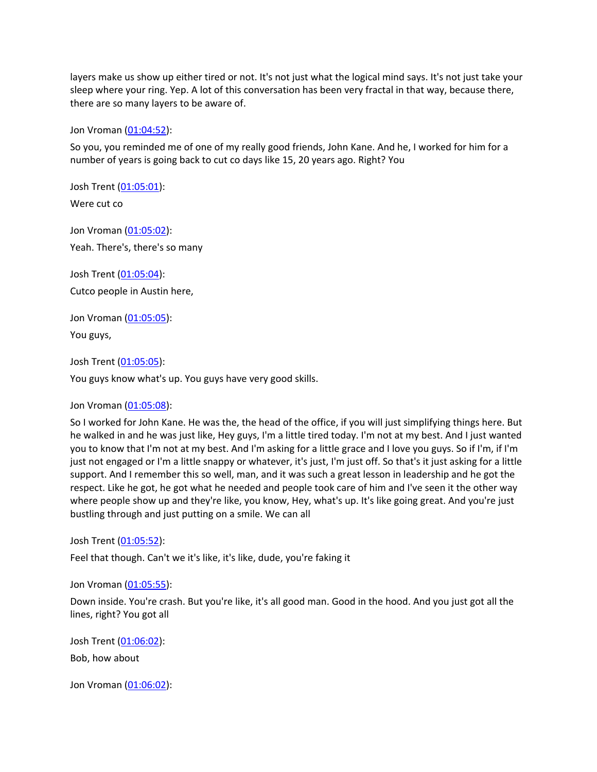layers make us show up either tired or not. It's not just what the logical mind says. It's not just take your sleep where your ring. Yep. A lot of this conversation has been very fractal in that way, because there, there are so many layers to be aware of.

Jon Vroman [\(01:04:52](https://www.temi.com/editor/t/lDt1Y2438ZMtccGhL55QfwfFHlcxX4HPa5UArSv2oLQFy4JxMQsMClyMnnTeNLrjx6qEjNk9NZzri80afU2ewHUZ7so?loadFrom=DocumentDeeplink&ts=3892.01)):

So you, you reminded me of one of my really good friends, John Kane. And he, I worked for him for a number of years is going back to cut co days like 15, 20 years ago. Right? You

Josh Trent ([01:05:01](https://www.temi.com/editor/t/lDt1Y2438ZMtccGhL55QfwfFHlcxX4HPa5UArSv2oLQFy4JxMQsMClyMnnTeNLrjx6qEjNk9NZzri80afU2ewHUZ7so?loadFrom=DocumentDeeplink&ts=3901.67)): Were cut co

Jon Vroman [\(01:05:02](https://www.temi.com/editor/t/lDt1Y2438ZMtccGhL55QfwfFHlcxX4HPa5UArSv2oLQFy4JxMQsMClyMnnTeNLrjx6qEjNk9NZzri80afU2ewHUZ7so?loadFrom=DocumentDeeplink&ts=3902.94)):

Yeah. There's, there's so many

Josh Trent ([01:05:04](https://www.temi.com/editor/t/lDt1Y2438ZMtccGhL55QfwfFHlcxX4HPa5UArSv2oLQFy4JxMQsMClyMnnTeNLrjx6qEjNk9NZzri80afU2ewHUZ7so?loadFrom=DocumentDeeplink&ts=3904.34)): Cutco people in Austin here,

Jon Vroman [\(01:05:05](https://www.temi.com/editor/t/lDt1Y2438ZMtccGhL55QfwfFHlcxX4HPa5UArSv2oLQFy4JxMQsMClyMnnTeNLrjx6qEjNk9NZzri80afU2ewHUZ7so?loadFrom=DocumentDeeplink&ts=3905.42)):

You guys,

Josh Trent ([01:05:05](https://www.temi.com/editor/t/lDt1Y2438ZMtccGhL55QfwfFHlcxX4HPa5UArSv2oLQFy4JxMQsMClyMnnTeNLrjx6qEjNk9NZzri80afU2ewHUZ7so?loadFrom=DocumentDeeplink&ts=3905.72)):

You guys know what's up. You guys have very good skills.

Jon Vroman [\(01:05:08](https://www.temi.com/editor/t/lDt1Y2438ZMtccGhL55QfwfFHlcxX4HPa5UArSv2oLQFy4JxMQsMClyMnnTeNLrjx6qEjNk9NZzri80afU2ewHUZ7so?loadFrom=DocumentDeeplink&ts=3908.76)):

So I worked for John Kane. He was the, the head of the office, if you will just simplifying things here. But he walked in and he was just like, Hey guys, I'm a little tired today. I'm not at my best. And I just wanted you to know that I'm not at my best. And I'm asking for a little grace and I love you guys. So if I'm, if I'm just not engaged or I'm a little snappy or whatever, it's just, I'm just off. So that's it just asking for a little support. And I remember this so well, man, and it was such a great lesson in leadership and he got the respect. Like he got, he got what he needed and people took care of him and I've seen it the other way where people show up and they're like, you know, Hey, what's up. It's like going great. And you're just bustling through and just putting on a smile. We can all

Josh Trent ([01:05:52](https://www.temi.com/editor/t/lDt1Y2438ZMtccGhL55QfwfFHlcxX4HPa5UArSv2oLQFy4JxMQsMClyMnnTeNLrjx6qEjNk9NZzri80afU2ewHUZ7so?loadFrom=DocumentDeeplink&ts=3952.67)):

Feel that though. Can't we it's like, it's like, dude, you're faking it

Jon Vroman [\(01:05:55](https://www.temi.com/editor/t/lDt1Y2438ZMtccGhL55QfwfFHlcxX4HPa5UArSv2oLQFy4JxMQsMClyMnnTeNLrjx6qEjNk9NZzri80afU2ewHUZ7so?loadFrom=DocumentDeeplink&ts=3955.26)):

Down inside. You're crash. But you're like, it's all good man. Good in the hood. And you just got all the lines, right? You got all

Josh Trent ([01:06:02](https://www.temi.com/editor/t/lDt1Y2438ZMtccGhL55QfwfFHlcxX4HPa5UArSv2oLQFy4JxMQsMClyMnnTeNLrjx6qEjNk9NZzri80afU2ewHUZ7so?loadFrom=DocumentDeeplink&ts=3962.1)): Bob, how about

Jon Vroman [\(01:06:02](https://www.temi.com/editor/t/lDt1Y2438ZMtccGhL55QfwfFHlcxX4HPa5UArSv2oLQFy4JxMQsMClyMnnTeNLrjx6qEjNk9NZzri80afU2ewHUZ7so?loadFrom=DocumentDeeplink&ts=3962.38)):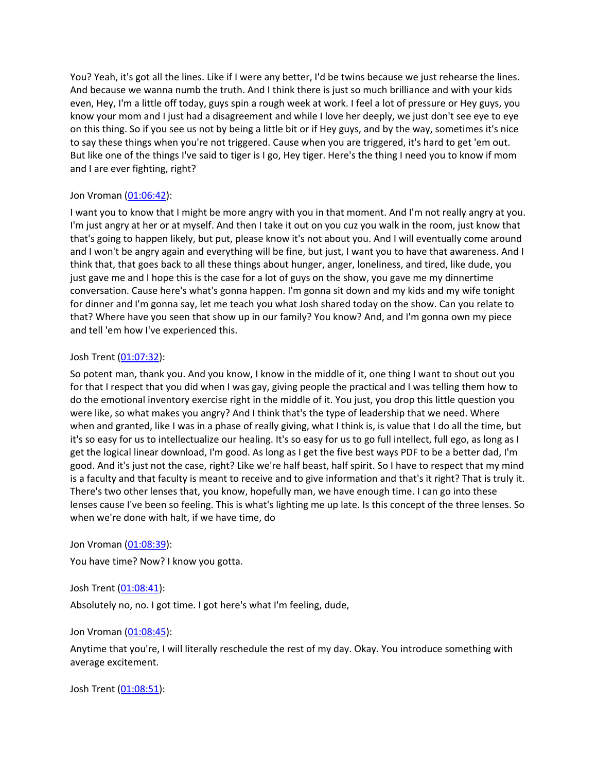You? Yeah, it's got all the lines. Like if I were any better, I'd be twins because we just rehearse the lines. And because we wanna numb the truth. And I think there is just so much brilliance and with your kids even, Hey, I'm a little off today, guys spin a rough week at work. I feel a lot of pressure or Hey guys, you know your mom and I just had a disagreement and while I love her deeply, we just don't see eye to eye on this thing. So if you see us not by being a little bit or if Hey guys, and by the way, sometimes it's nice to say these things when you're not triggered. Cause when you are triggered, it's hard to get 'em out. But like one of the things I've said to tiger is I go, Hey tiger. Here's the thing I need you to know if mom and I are ever fighting, right?

# Jon Vroman [\(01:06:42](https://www.temi.com/editor/t/lDt1Y2438ZMtccGhL55QfwfFHlcxX4HPa5UArSv2oLQFy4JxMQsMClyMnnTeNLrjx6qEjNk9NZzri80afU2ewHUZ7so?loadFrom=DocumentDeeplink&ts=4002.64)):

I want you to know that I might be more angry with you in that moment. And I'm not really angry at you. I'm just angry at her or at myself. And then I take it out on you cuz you walk in the room, just know that that's going to happen likely, but put, please know it's not about you. And I will eventually come around and I won't be angry again and everything will be fine, but just, I want you to have that awareness. And I think that, that goes back to all these things about hunger, anger, loneliness, and tired, like dude, you just gave me and I hope this is the case for a lot of guys on the show, you gave me my dinnertime conversation. Cause here's what's gonna happen. I'm gonna sit down and my kids and my wife tonight for dinner and I'm gonna say, let me teach you what Josh shared today on the show. Can you relate to that? Where have you seen that show up in our family? You know? And, and I'm gonna own my piece and tell 'em how I've experienced this.

# Josh Trent ([01:07:32](https://www.temi.com/editor/t/lDt1Y2438ZMtccGhL55QfwfFHlcxX4HPa5UArSv2oLQFy4JxMQsMClyMnnTeNLrjx6qEjNk9NZzri80afU2ewHUZ7so?loadFrom=DocumentDeeplink&ts=4052.36)):

So potent man, thank you. And you know, I know in the middle of it, one thing I want to shout out you for that I respect that you did when I was gay, giving people the practical and I was telling them how to do the emotional inventory exercise right in the middle of it. You just, you drop this little question you were like, so what makes you angry? And I think that's the type of leadership that we need. Where when and granted, like I was in a phase of really giving, what I think is, is value that I do all the time, but it's so easy for us to intellectualize our healing. It's so easy for us to go full intellect, full ego, as long as I get the logical linear download, I'm good. As long as I get the five best ways PDF to be a better dad, I'm good. And it's just not the case, right? Like we're half beast, half spirit. So I have to respect that my mind is a faculty and that faculty is meant to receive and to give information and that's it right? That is truly it. There's two other lenses that, you know, hopefully man, we have enough time. I can go into these lenses cause I've been so feeling. This is what's lighting me up late. Is this concept of the three lenses. So when we're done with halt, if we have time, do

## Jon Vroman [\(01:08:39](https://www.temi.com/editor/t/lDt1Y2438ZMtccGhL55QfwfFHlcxX4HPa5UArSv2oLQFy4JxMQsMClyMnnTeNLrjx6qEjNk9NZzri80afU2ewHUZ7so?loadFrom=DocumentDeeplink&ts=4119.99)):

You have time? Now? I know you gotta.

## Josh Trent ([01:08:41](https://www.temi.com/editor/t/lDt1Y2438ZMtccGhL55QfwfFHlcxX4HPa5UArSv2oLQFy4JxMQsMClyMnnTeNLrjx6qEjNk9NZzri80afU2ewHUZ7so?loadFrom=DocumentDeeplink&ts=4121.39)):

Absolutely no, no. I got time. I got here's what I'm feeling, dude,

## Jon Vroman [\(01:08:45](https://www.temi.com/editor/t/lDt1Y2438ZMtccGhL55QfwfFHlcxX4HPa5UArSv2oLQFy4JxMQsMClyMnnTeNLrjx6qEjNk9NZzri80afU2ewHUZ7so?loadFrom=DocumentDeeplink&ts=4125.67)):

Anytime that you're, I will literally reschedule the rest of my day. Okay. You introduce something with average excitement.

Josh Trent ([01:08:51](https://www.temi.com/editor/t/lDt1Y2438ZMtccGhL55QfwfFHlcxX4HPa5UArSv2oLQFy4JxMQsMClyMnnTeNLrjx6qEjNk9NZzri80afU2ewHUZ7so?loadFrom=DocumentDeeplink&ts=4131.5)):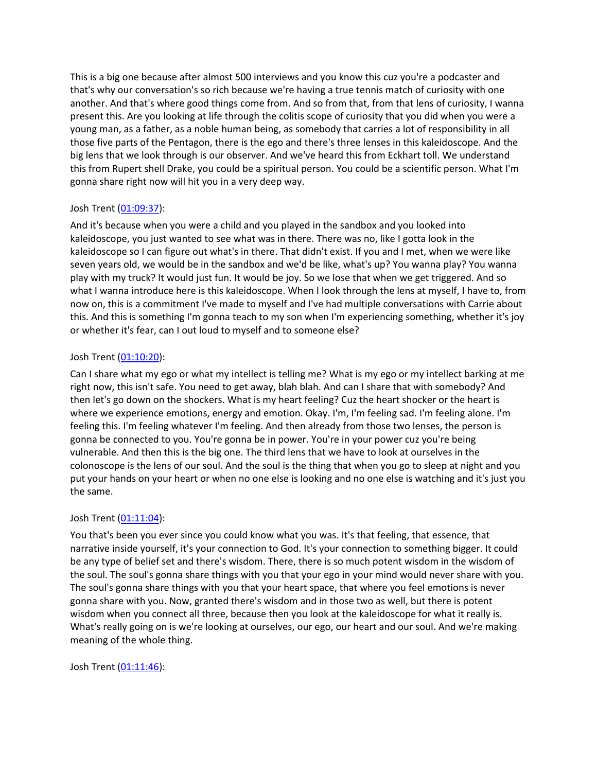This is a big one because after almost 500 interviews and you know this cuz you're a podcaster and that's why our conversation's so rich because we're having a true tennis match of curiosity with one another. And that's where good things come from. And so from that, from that lens of curiosity, I wanna present this. Are you looking at life through the colitis scope of curiosity that you did when you were a young man, as a father, as a noble human being, as somebody that carries a lot of responsibility in all those five parts of the Pentagon, there is the ego and there's three lenses in this kaleidoscope. And the big lens that we look through is our observer. And we've heard this from Eckhart toll. We understand this from Rupert shell Drake, you could be a spiritual person. You could be a scientific person. What I'm gonna share right now will hit you in a very deep way.

# Josh Trent ([01:09:37](https://www.temi.com/editor/t/lDt1Y2438ZMtccGhL55QfwfFHlcxX4HPa5UArSv2oLQFy4JxMQsMClyMnnTeNLrjx6qEjNk9NZzri80afU2ewHUZ7so?loadFrom=DocumentDeeplink&ts=4177.77)):

And it's because when you were a child and you played in the sandbox and you looked into kaleidoscope, you just wanted to see what was in there. There was no, like I gotta look in the kaleidoscope so I can figure out what's in there. That didn't exist. If you and I met, when we were like seven years old, we would be in the sandbox and we'd be like, what's up? You wanna play? You wanna play with my truck? It would just fun. It would be joy. So we lose that when we get triggered. And so what I wanna introduce here is this kaleidoscope. When I look through the lens at myself, I have to, from now on, this is a commitment I've made to myself and I've had multiple conversations with Carrie about this. And this is something I'm gonna teach to my son when I'm experiencing something, whether it's joy or whether it's fear, can I out loud to myself and to someone else?

# Josh Trent ([01:10:20](https://www.temi.com/editor/t/lDt1Y2438ZMtccGhL55QfwfFHlcxX4HPa5UArSv2oLQFy4JxMQsMClyMnnTeNLrjx6qEjNk9NZzri80afU2ewHUZ7so?loadFrom=DocumentDeeplink&ts=4220.43)):

Can I share what my ego or what my intellect is telling me? What is my ego or my intellect barking at me right now, this isn't safe. You need to get away, blah blah. And can I share that with somebody? And then let's go down on the shockers. What is my heart feeling? Cuz the heart shocker or the heart is where we experience emotions, energy and emotion. Okay. I'm, I'm feeling sad. I'm feeling alone. I'm feeling this. I'm feeling whatever I'm feeling. And then already from those two lenses, the person is gonna be connected to you. You're gonna be in power. You're in your power cuz you're being vulnerable. And then this is the big one. The third lens that we have to look at ourselves in the colonoscope is the lens of our soul. And the soul is the thing that when you go to sleep at night and you put your hands on your heart or when no one else is looking and no one else is watching and it's just you the same.

## Josh Trent ([01:11:04](https://www.temi.com/editor/t/lDt1Y2438ZMtccGhL55QfwfFHlcxX4HPa5UArSv2oLQFy4JxMQsMClyMnnTeNLrjx6qEjNk9NZzri80afU2ewHUZ7so?loadFrom=DocumentDeeplink&ts=4264.53)):

You that's been you ever since you could know what you was. It's that feeling, that essence, that narrative inside yourself, it's your connection to God. It's your connection to something bigger. It could be any type of belief set and there's wisdom. There, there is so much potent wisdom in the wisdom of the soul. The soul's gonna share things with you that your ego in your mind would never share with you. The soul's gonna share things with you that your heart space, that where you feel emotions is never gonna share with you. Now, granted there's wisdom and in those two as well, but there is potent wisdom when you connect all three, because then you look at the kaleidoscope for what it really is. What's really going on is we're looking at ourselves, our ego, our heart and our soul. And we're making meaning of the whole thing.

Josh Trent ([01:11:46](https://www.temi.com/editor/t/lDt1Y2438ZMtccGhL55QfwfFHlcxX4HPa5UArSv2oLQFy4JxMQsMClyMnnTeNLrjx6qEjNk9NZzri80afU2ewHUZ7so?loadFrom=DocumentDeeplink&ts=4306.58)):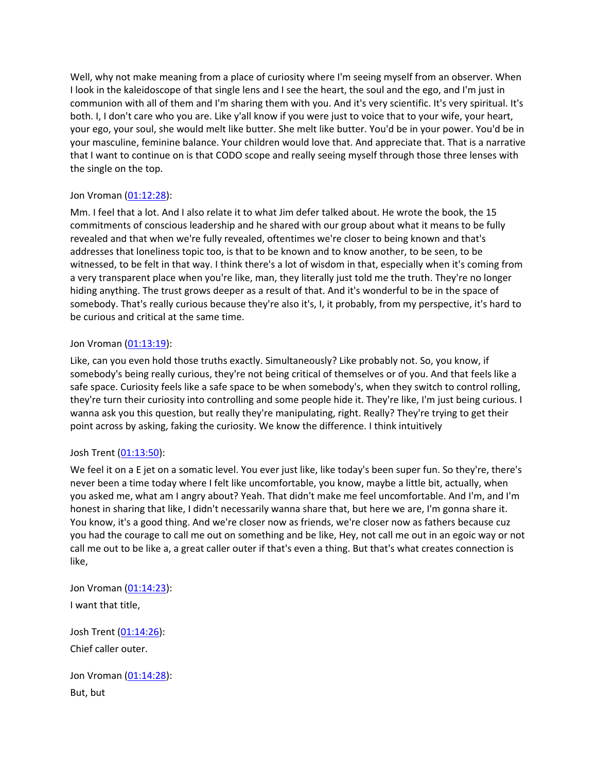Well, why not make meaning from a place of curiosity where I'm seeing myself from an observer. When I look in the kaleidoscope of that single lens and I see the heart, the soul and the ego, and I'm just in communion with all of them and I'm sharing them with you. And it's very scientific. It's very spiritual. It's both. I, I don't care who you are. Like y'all know if you were just to voice that to your wife, your heart, your ego, your soul, she would melt like butter. She melt like butter. You'd be in your power. You'd be in your masculine, feminine balance. Your children would love that. And appreciate that. That is a narrative that I want to continue on is that CODO scope and really seeing myself through those three lenses with the single on the top.

# Jon Vroman [\(01:12:28](https://www.temi.com/editor/t/lDt1Y2438ZMtccGhL55QfwfFHlcxX4HPa5UArSv2oLQFy4JxMQsMClyMnnTeNLrjx6qEjNk9NZzri80afU2ewHUZ7so?loadFrom=DocumentDeeplink&ts=4348.53)):

Mm. I feel that a lot. And I also relate it to what Jim defer talked about. He wrote the book, the 15 commitments of conscious leadership and he shared with our group about what it means to be fully revealed and that when we're fully revealed, oftentimes we're closer to being known and that's addresses that loneliness topic too, is that to be known and to know another, to be seen, to be witnessed, to be felt in that way. I think there's a lot of wisdom in that, especially when it's coming from a very transparent place when you're like, man, they literally just told me the truth. They're no longer hiding anything. The trust grows deeper as a result of that. And it's wonderful to be in the space of somebody. That's really curious because they're also it's, I, it probably, from my perspective, it's hard to be curious and critical at the same time.

## Jon Vroman [\(01:13:19](https://www.temi.com/editor/t/lDt1Y2438ZMtccGhL55QfwfFHlcxX4HPa5UArSv2oLQFy4JxMQsMClyMnnTeNLrjx6qEjNk9NZzri80afU2ewHUZ7so?loadFrom=DocumentDeeplink&ts=4399.25)):

Like, can you even hold those truths exactly. Simultaneously? Like probably not. So, you know, if somebody's being really curious, they're not being critical of themselves or of you. And that feels like a safe space. Curiosity feels like a safe space to be when somebody's, when they switch to control rolling, they're turn their curiosity into controlling and some people hide it. They're like, I'm just being curious. I wanna ask you this question, but really they're manipulating, right. Really? They're trying to get their point across by asking, faking the curiosity. We know the difference. I think intuitively

# Josh Trent ([01:13:50](https://www.temi.com/editor/t/lDt1Y2438ZMtccGhL55QfwfFHlcxX4HPa5UArSv2oLQFy4JxMQsMClyMnnTeNLrjx6qEjNk9NZzri80afU2ewHUZ7so?loadFrom=DocumentDeeplink&ts=4430.03)):

We feel it on a E jet on a somatic level. You ever just like, like today's been super fun. So they're, there's never been a time today where I felt like uncomfortable, you know, maybe a little bit, actually, when you asked me, what am I angry about? Yeah. That didn't make me feel uncomfortable. And I'm, and I'm honest in sharing that like, I didn't necessarily wanna share that, but here we are, I'm gonna share it. You know, it's a good thing. And we're closer now as friends, we're closer now as fathers because cuz you had the courage to call me out on something and be like, Hey, not call me out in an egoic way or not call me out to be like a, a great caller outer if that's even a thing. But that's what creates connection is like,

Jon Vroman [\(01:14:23](https://www.temi.com/editor/t/lDt1Y2438ZMtccGhL55QfwfFHlcxX4HPa5UArSv2oLQFy4JxMQsMClyMnnTeNLrjx6qEjNk9NZzri80afU2ewHUZ7so?loadFrom=DocumentDeeplink&ts=4463.4)):

I want that title,

Josh Trent ([01:14:26](https://www.temi.com/editor/t/lDt1Y2438ZMtccGhL55QfwfFHlcxX4HPa5UArSv2oLQFy4JxMQsMClyMnnTeNLrjx6qEjNk9NZzri80afU2ewHUZ7so?loadFrom=DocumentDeeplink&ts=4466.08)): Chief caller outer.

Jon Vroman [\(01:14:28](https://www.temi.com/editor/t/lDt1Y2438ZMtccGhL55QfwfFHlcxX4HPa5UArSv2oLQFy4JxMQsMClyMnnTeNLrjx6qEjNk9NZzri80afU2ewHUZ7so?loadFrom=DocumentDeeplink&ts=4468.18)): But, but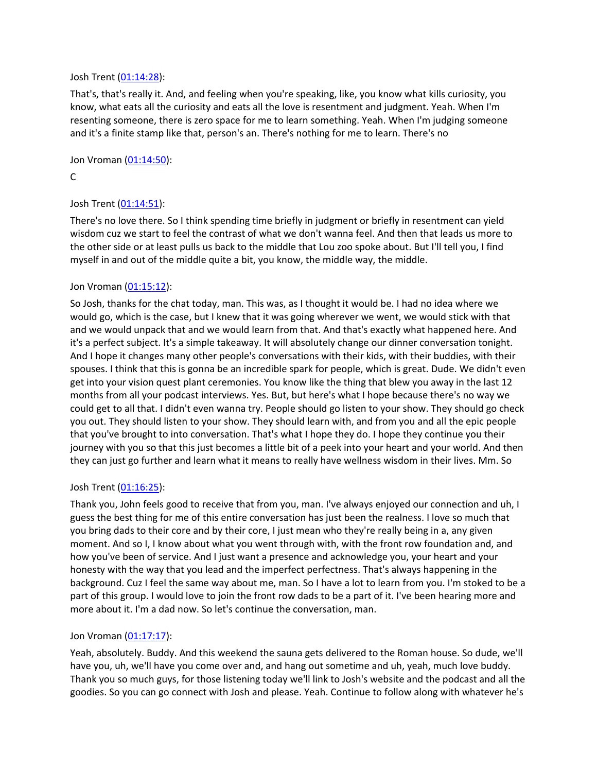### Josh Trent ([01:14:28](https://www.temi.com/editor/t/lDt1Y2438ZMtccGhL55QfwfFHlcxX4HPa5UArSv2oLQFy4JxMQsMClyMnnTeNLrjx6qEjNk9NZzri80afU2ewHUZ7so?loadFrom=DocumentDeeplink&ts=4468.72)):

That's, that's really it. And, and feeling when you're speaking, like, you know what kills curiosity, you know, what eats all the curiosity and eats all the love is resentment and judgment. Yeah. When I'm resenting someone, there is zero space for me to learn something. Yeah. When I'm judging someone and it's a finite stamp like that, person's an. There's nothing for me to learn. There's no

Jon Vroman [\(01:14:50](https://www.temi.com/editor/t/lDt1Y2438ZMtccGhL55QfwfFHlcxX4HPa5UArSv2oLQFy4JxMQsMClyMnnTeNLrjx6qEjNk9NZzri80afU2ewHUZ7so?loadFrom=DocumentDeeplink&ts=4490.75)):

C

# Josh Trent ([01:14:51](https://www.temi.com/editor/t/lDt1Y2438ZMtccGhL55QfwfFHlcxX4HPa5UArSv2oLQFy4JxMQsMClyMnnTeNLrjx6qEjNk9NZzri80afU2ewHUZ7so?loadFrom=DocumentDeeplink&ts=4491.45)):

There's no love there. So I think spending time briefly in judgment or briefly in resentment can yield wisdom cuz we start to feel the contrast of what we don't wanna feel. And then that leads us more to the other side or at least pulls us back to the middle that Lou zoo spoke about. But I'll tell you, I find myself in and out of the middle quite a bit, you know, the middle way, the middle.

## Jon Vroman [\(01:15:12](https://www.temi.com/editor/t/lDt1Y2438ZMtccGhL55QfwfFHlcxX4HPa5UArSv2oLQFy4JxMQsMClyMnnTeNLrjx6qEjNk9NZzri80afU2ewHUZ7so?loadFrom=DocumentDeeplink&ts=4512.53)):

So Josh, thanks for the chat today, man. This was, as I thought it would be. I had no idea where we would go, which is the case, but I knew that it was going wherever we went, we would stick with that and we would unpack that and we would learn from that. And that's exactly what happened here. And it's a perfect subject. It's a simple takeaway. It will absolutely change our dinner conversation tonight. And I hope it changes many other people's conversations with their kids, with their buddies, with their spouses. I think that this is gonna be an incredible spark for people, which is great. Dude. We didn't even get into your vision quest plant ceremonies. You know like the thing that blew you away in the last 12 months from all your podcast interviews. Yes. But, but here's what I hope because there's no way we could get to all that. I didn't even wanna try. People should go listen to your show. They should go check you out. They should listen to your show. They should learn with, and from you and all the epic people that you've brought to into conversation. That's what I hope they do. I hope they continue you their journey with you so that this just becomes a little bit of a peek into your heart and your world. And then they can just go further and learn what it means to really have wellness wisdom in their lives. Mm. So

## Josh Trent ([01:16:25](https://www.temi.com/editor/t/lDt1Y2438ZMtccGhL55QfwfFHlcxX4HPa5UArSv2oLQFy4JxMQsMClyMnnTeNLrjx6qEjNk9NZzri80afU2ewHUZ7so?loadFrom=DocumentDeeplink&ts=4585.35)):

Thank you, John feels good to receive that from you, man. I've always enjoyed our connection and uh, I guess the best thing for me of this entire conversation has just been the realness. I love so much that you bring dads to their core and by their core, I just mean who they're really being in a, any given moment. And so I, I know about what you went through with, with the front row foundation and, and how you've been of service. And I just want a presence and acknowledge you, your heart and your honesty with the way that you lead and the imperfect perfectness. That's always happening in the background. Cuz I feel the same way about me, man. So I have a lot to learn from you. I'm stoked to be a part of this group. I would love to join the front row dads to be a part of it. I've been hearing more and more about it. I'm a dad now. So let's continue the conversation, man.

## Jon Vroman [\(01:17:17](https://www.temi.com/editor/t/lDt1Y2438ZMtccGhL55QfwfFHlcxX4HPa5UArSv2oLQFy4JxMQsMClyMnnTeNLrjx6qEjNk9NZzri80afU2ewHUZ7so?loadFrom=DocumentDeeplink&ts=4637.63)):

Yeah, absolutely. Buddy. And this weekend the sauna gets delivered to the Roman house. So dude, we'll have you, uh, we'll have you come over and, and hang out sometime and uh, yeah, much love buddy. Thank you so much guys, for those listening today we'll link to Josh's website and the podcast and all the goodies. So you can go connect with Josh and please. Yeah. Continue to follow along with whatever he's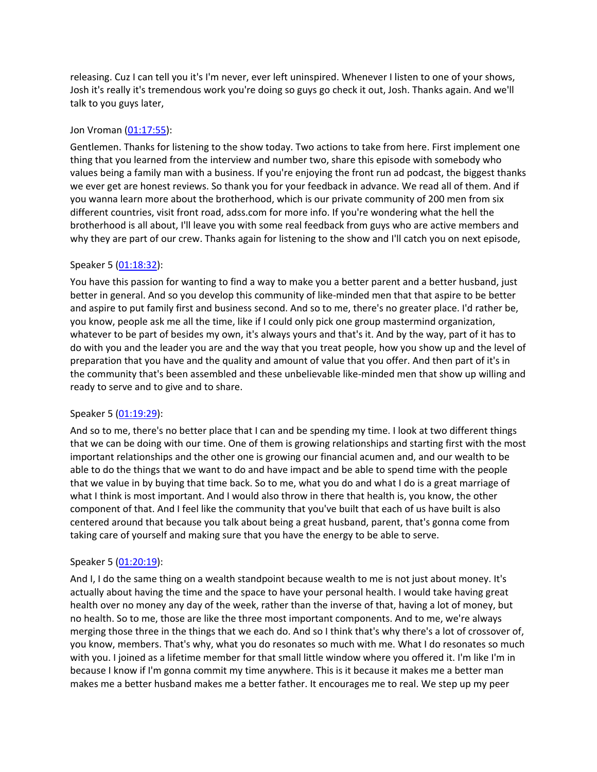releasing. Cuz I can tell you it's I'm never, ever left uninspired. Whenever I listen to one of your shows, Josh it's really it's tremendous work you're doing so guys go check it out, Josh. Thanks again. And we'll talk to you guys later,

## Jon Vroman [\(01:17:55](https://www.temi.com/editor/t/lDt1Y2438ZMtccGhL55QfwfFHlcxX4HPa5UArSv2oLQFy4JxMQsMClyMnnTeNLrjx6qEjNk9NZzri80afU2ewHUZ7so?loadFrom=DocumentDeeplink&ts=4675.77)):

Gentlemen. Thanks for listening to the show today. Two actions to take from here. First implement one thing that you learned from the interview and number two, share this episode with somebody who values being a family man with a business. If you're enjoying the front run ad podcast, the biggest thanks we ever get are honest reviews. So thank you for your feedback in advance. We read all of them. And if you wanna learn more about the brotherhood, which is our private community of 200 men from six different countries, visit front road, adss.com for more info. If you're wondering what the hell the brotherhood is all about, I'll leave you with some real feedback from guys who are active members and why they are part of our crew. Thanks again for listening to the show and I'll catch you on next episode,

# Speaker 5 ([01:18:32](https://www.temi.com/editor/t/lDt1Y2438ZMtccGhL55QfwfFHlcxX4HPa5UArSv2oLQFy4JxMQsMClyMnnTeNLrjx6qEjNk9NZzri80afU2ewHUZ7so?loadFrom=DocumentDeeplink&ts=4712.7)):

You have this passion for wanting to find a way to make you a better parent and a better husband, just better in general. And so you develop this community of like-minded men that that aspire to be better and aspire to put family first and business second. And so to me, there's no greater place. I'd rather be, you know, people ask me all the time, like if I could only pick one group mastermind organization, whatever to be part of besides my own, it's always yours and that's it. And by the way, part of it has to do with you and the leader you are and the way that you treat people, how you show up and the level of preparation that you have and the quality and amount of value that you offer. And then part of it's in the community that's been assembled and these unbelievable like-minded men that show up willing and ready to serve and to give and to share.

## Speaker 5 ([01:19:29](https://www.temi.com/editor/t/lDt1Y2438ZMtccGhL55QfwfFHlcxX4HPa5UArSv2oLQFy4JxMQsMClyMnnTeNLrjx6qEjNk9NZzri80afU2ewHUZ7so?loadFrom=DocumentDeeplink&ts=4769)):

And so to me, there's no better place that I can and be spending my time. I look at two different things that we can be doing with our time. One of them is growing relationships and starting first with the most important relationships and the other one is growing our financial acumen and, and our wealth to be able to do the things that we want to do and have impact and be able to spend time with the people that we value in by buying that time back. So to me, what you do and what I do is a great marriage of what I think is most important. And I would also throw in there that health is, you know, the other component of that. And I feel like the community that you've built that each of us have built is also centered around that because you talk about being a great husband, parent, that's gonna come from taking care of yourself and making sure that you have the energy to be able to serve.

## Speaker 5 ([01:20:19](https://www.temi.com/editor/t/lDt1Y2438ZMtccGhL55QfwfFHlcxX4HPa5UArSv2oLQFy4JxMQsMClyMnnTeNLrjx6qEjNk9NZzri80afU2ewHUZ7so?loadFrom=DocumentDeeplink&ts=4819.26)):

And I, I do the same thing on a wealth standpoint because wealth to me is not just about money. It's actually about having the time and the space to have your personal health. I would take having great health over no money any day of the week, rather than the inverse of that, having a lot of money, but no health. So to me, those are like the three most important components. And to me, we're always merging those three in the things that we each do. And so I think that's why there's a lot of crossover of, you know, members. That's why, what you do resonates so much with me. What I do resonates so much with you. I joined as a lifetime member for that small little window where you offered it. I'm like I'm in because I know if I'm gonna commit my time anywhere. This is it because it makes me a better man makes me a better husband makes me a better father. It encourages me to real. We step up my peer